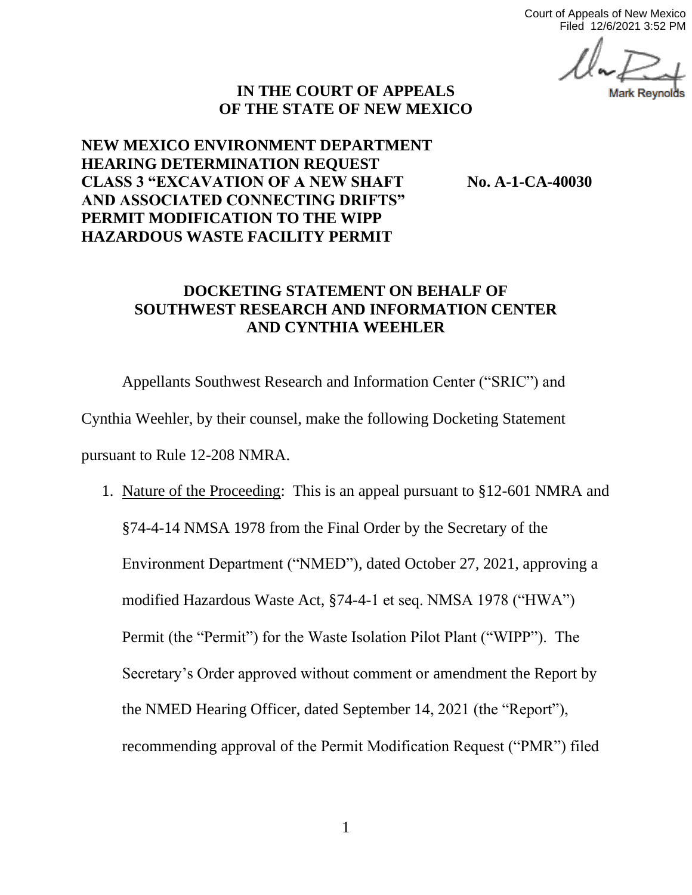Court of Appeals of New Mexico Filed 12/6/2021 3:52 PM

## **IN THE COURT OF APPEALS OF THE STATE OF NEW MEXICO**

## **NEW MEXICO ENVIRONMENT DEPARTMENT HEARING DETERMINATION REQUEST CLASS 3 "EXCAVATION OF A NEW SHAFT No. A-1-CA-40030 AND ASSOCIATED CONNECTING DRIFTS" PERMIT MODIFICATION TO THE WIPP HAZARDOUS WASTE FACILITY PERMIT**

## **DOCKETING STATEMENT ON BEHALF OF SOUTHWEST RESEARCH AND INFORMATION CENTER AND CYNTHIA WEEHLER**

Appellants Southwest Research and Information Center ("SRIC") and Cynthia Weehler, by their counsel, make the following Docketing Statement pursuant to Rule 12-208 NMRA.

1. Nature of the Proceeding: This is an appeal pursuant to §12-601 NMRA and §74-4-14 NMSA 1978 from the Final Order by the Secretary of the Environment Department ("NMED"), dated October 27, 2021, approving a modified Hazardous Waste Act, §74-4-1 et seq. NMSA 1978 ("HWA") Permit (the "Permit") for the Waste Isolation Pilot Plant ("WIPP"). The Secretary's Order approved without comment or amendment the Report by the NMED Hearing Officer, dated September 14, 2021 (the "Report"), recommending approval of the Permit Modification Request ("PMR") filed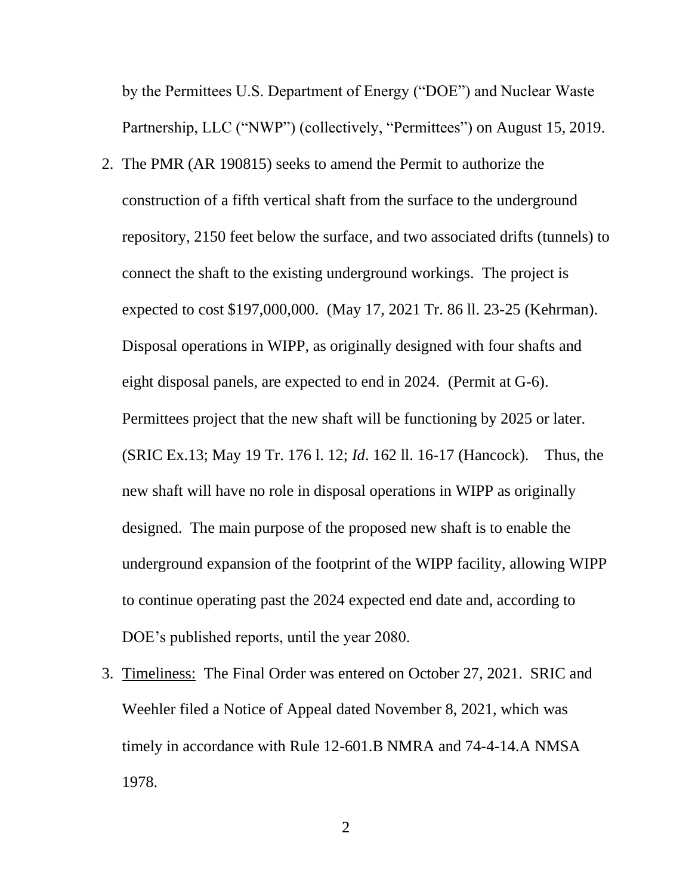by the Permittees U.S. Department of Energy ("DOE") and Nuclear Waste Partnership, LLC ("NWP") (collectively, "Permittees") on August 15, 2019.

- 2. The PMR (AR 190815) seeks to amend the Permit to authorize the construction of a fifth vertical shaft from the surface to the underground repository, 2150 feet below the surface, and two associated drifts (tunnels) to connect the shaft to the existing underground workings. The project is expected to cost \$197,000,000. (May 17, 2021 Tr. 86 ll. 23-25 (Kehrman). Disposal operations in WIPP, as originally designed with four shafts and eight disposal panels, are expected to end in 2024. (Permit at G-6). Permittees project that the new shaft will be functioning by 2025 or later. (SRIC Ex.13; May 19 Tr. 176 l. 12; *Id*. 162 ll. 16-17 (Hancock). Thus, the new shaft will have no role in disposal operations in WIPP as originally designed. The main purpose of the proposed new shaft is to enable the underground expansion of the footprint of the WIPP facility, allowing WIPP to continue operating past the 2024 expected end date and, according to DOE's published reports, until the year 2080.
- 3. Timeliness: The Final Order was entered on October 27, 2021. SRIC and Weehler filed a Notice of Appeal dated November 8, 2021, which was timely in accordance with Rule 12-601.B NMRA and 74-4-14.A NMSA 1978.

2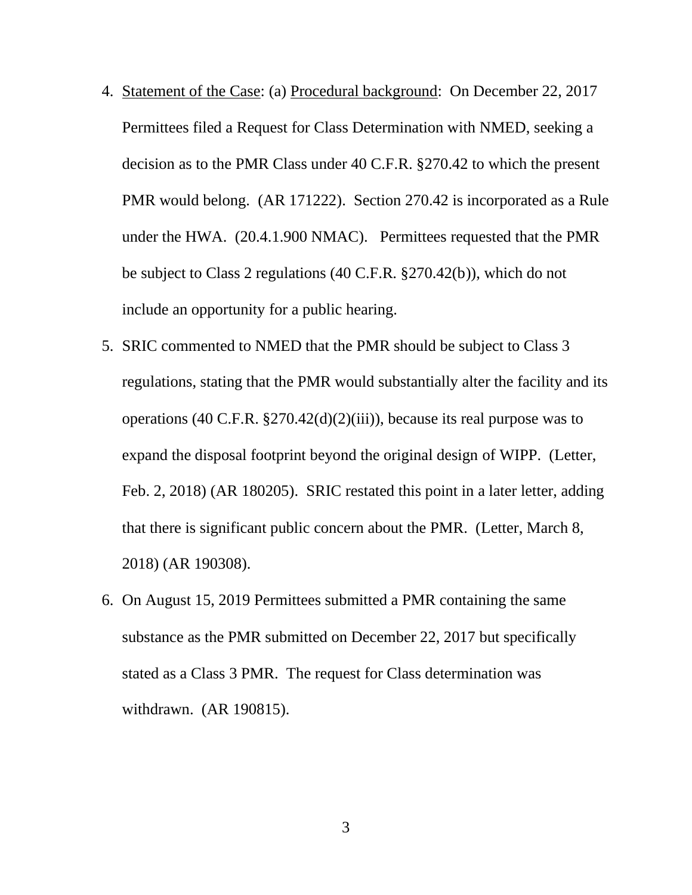- 4. Statement of the Case: (a) Procedural background: On December 22, 2017 Permittees filed a Request for Class Determination with NMED, seeking a decision as to the PMR Class under 40 C.F.R. §270.42 to which the present PMR would belong. (AR 171222). Section 270.42 is incorporated as a Rule under the HWA. (20.4.1.900 NMAC). Permittees requested that the PMR be subject to Class 2 regulations (40 C.F.R. §270.42(b)), which do not include an opportunity for a public hearing.
- 5. SRIC commented to NMED that the PMR should be subject to Class 3 regulations, stating that the PMR would substantially alter the facility and its operations (40 C.F.R. §270.42(d)(2)(iii)), because its real purpose was to expand the disposal footprint beyond the original design of WIPP. (Letter, Feb. 2, 2018) (AR 180205). SRIC restated this point in a later letter, adding that there is significant public concern about the PMR. (Letter, March 8, 2018) (AR 190308).
- 6. On August 15, 2019 Permittees submitted a PMR containing the same substance as the PMR submitted on December 22, 2017 but specifically stated as a Class 3 PMR. The request for Class determination was withdrawn. (AR 190815).

3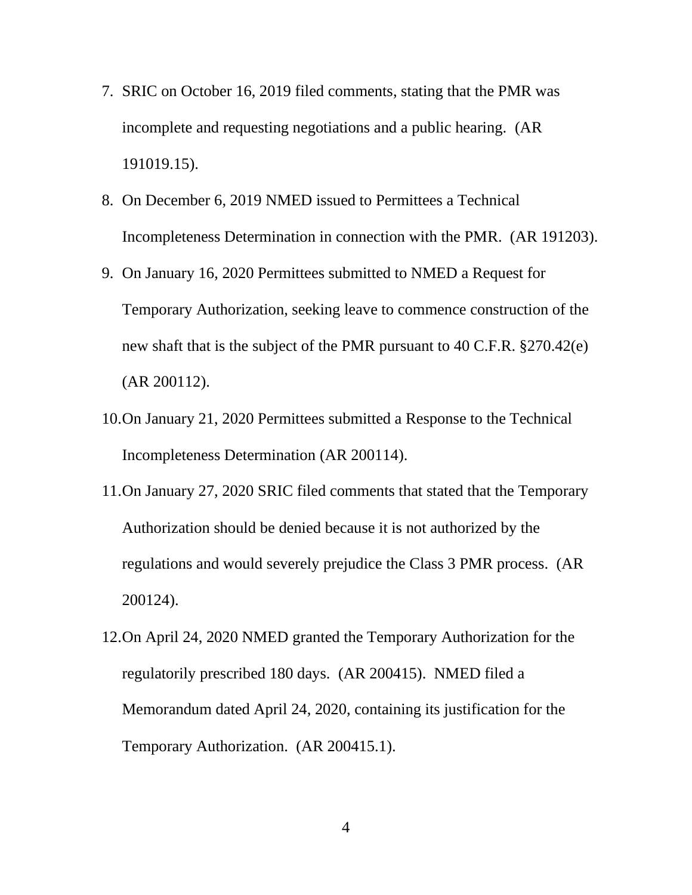- 7. SRIC on October 16, 2019 filed comments, stating that the PMR was incomplete and requesting negotiations and a public hearing. (AR 191019.15).
- 8. On December 6, 2019 NMED issued to Permittees a Technical Incompleteness Determination in connection with the PMR. (AR 191203).
- 9. On January 16, 2020 Permittees submitted to NMED a Request for Temporary Authorization, seeking leave to commence construction of the new shaft that is the subject of the PMR pursuant to 40 C.F.R. §270.42(e) (AR 200112).
- 10.On January 21, 2020 Permittees submitted a Response to the Technical Incompleteness Determination (AR 200114).
- 11.On January 27, 2020 SRIC filed comments that stated that the Temporary Authorization should be denied because it is not authorized by the regulations and would severely prejudice the Class 3 PMR process. (AR 200124).
- 12.On April 24, 2020 NMED granted the Temporary Authorization for the regulatorily prescribed 180 days. (AR 200415). NMED filed a Memorandum dated April 24, 2020, containing its justification for the Temporary Authorization. (AR 200415.1).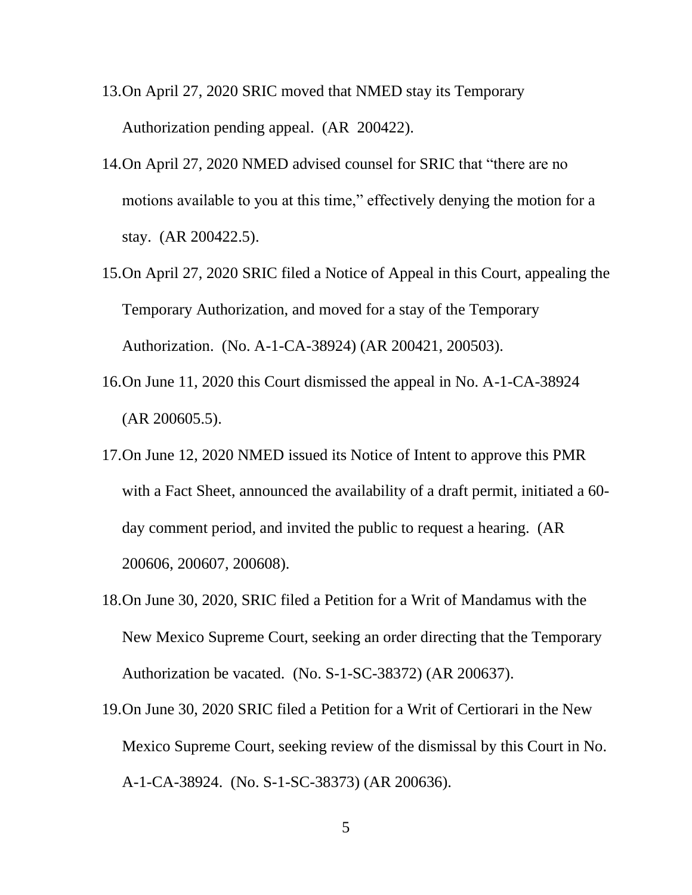- 13.On April 27, 2020 SRIC moved that NMED stay its Temporary Authorization pending appeal. (AR 200422).
- 14.On April 27, 2020 NMED advised counsel for SRIC that "there are no motions available to you at this time," effectively denying the motion for a stay. (AR 200422.5).
- 15.On April 27, 2020 SRIC filed a Notice of Appeal in this Court, appealing the Temporary Authorization, and moved for a stay of the Temporary Authorization. (No. A-1-CA-38924) (AR 200421, 200503).
- 16.On June 11, 2020 this Court dismissed the appeal in No. A-1-CA-38924 (AR 200605.5).
- 17.On June 12, 2020 NMED issued its Notice of Intent to approve this PMR with a Fact Sheet, announced the availability of a draft permit, initiated a 60 day comment period, and invited the public to request a hearing. (AR 200606, 200607, 200608).
- 18.On June 30, 2020, SRIC filed a Petition for a Writ of Mandamus with the New Mexico Supreme Court, seeking an order directing that the Temporary Authorization be vacated. (No. S-1-SC-38372) (AR 200637).
- 19.On June 30, 2020 SRIC filed a Petition for a Writ of Certiorari in the New Mexico Supreme Court, seeking review of the dismissal by this Court in No. A-1-CA-38924. (No. S-1-SC-38373) (AR 200636).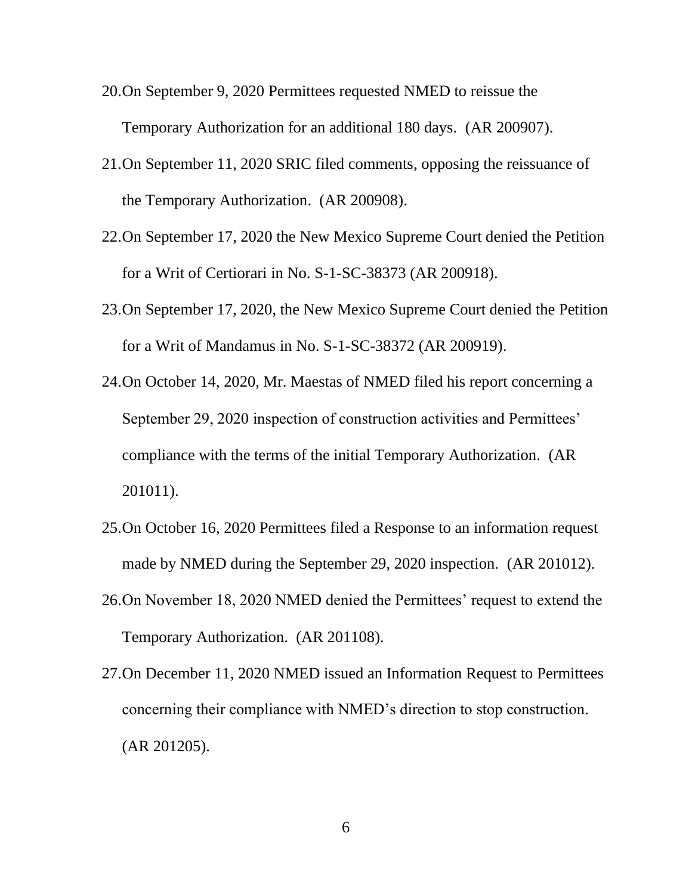- 20.On September 9, 2020 Permittees requested NMED to reissue the Temporary Authorization for an additional 180 days. (AR 200907).
- 21.On September 11, 2020 SRIC filed comments, opposing the reissuance of the Temporary Authorization. (AR 200908).
- 22.On September 17, 2020 the New Mexico Supreme Court denied the Petition for a Writ of Certiorari in No. S-1-SC-38373 (AR 200918).
- 23.On September 17, 2020, the New Mexico Supreme Court denied the Petition for a Writ of Mandamus in No. S-1-SC-38372 (AR 200919).
- 24.On October 14, 2020, Mr. Maestas of NMED filed his report concerning a September 29, 2020 inspection of construction activities and Permittees' compliance with the terms of the initial Temporary Authorization. (AR 201011).
- 25.On October 16, 2020 Permittees filed a Response to an information request made by NMED during the September 29, 2020 inspection. (AR 201012).
- 26.On November 18, 2020 NMED denied the Permittees' request to extend the Temporary Authorization. (AR 201108).
- 27.On December 11, 2020 NMED issued an Information Request to Permittees concerning their compliance with NMED's direction to stop construction. (AR 201205).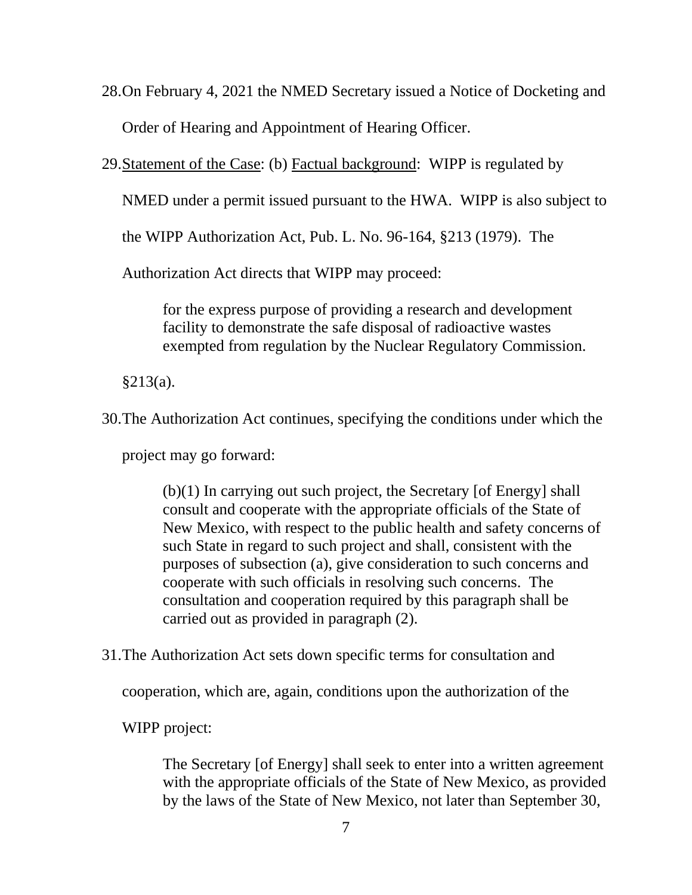28.On February 4, 2021 the NMED Secretary issued a Notice of Docketing and Order of Hearing and Appointment of Hearing Officer.

29.Statement of the Case: (b) Factual background: WIPP is regulated by

NMED under a permit issued pursuant to the HWA. WIPP is also subject to

the WIPP Authorization Act, Pub. L. No. 96-164, §213 (1979). The

Authorization Act directs that WIPP may proceed:

for the express purpose of providing a research and development facility to demonstrate the safe disposal of radioactive wastes exempted from regulation by the Nuclear Regulatory Commission.

 $§213(a).$ 

30.The Authorization Act continues, specifying the conditions under which the

project may go forward:

(b)(1) In carrying out such project, the Secretary [of Energy] shall consult and cooperate with the appropriate officials of the State of New Mexico, with respect to the public health and safety concerns of such State in regard to such project and shall, consistent with the purposes of subsection (a), give consideration to such concerns and cooperate with such officials in resolving such concerns. The consultation and cooperation required by this paragraph shall be carried out as provided in paragraph (2).

31.The Authorization Act sets down specific terms for consultation and

cooperation, which are, again, conditions upon the authorization of the

WIPP project:

The Secretary [of Energy] shall seek to enter into a written agreement with the appropriate officials of the State of New Mexico, as provided by the laws of the State of New Mexico, not later than September 30,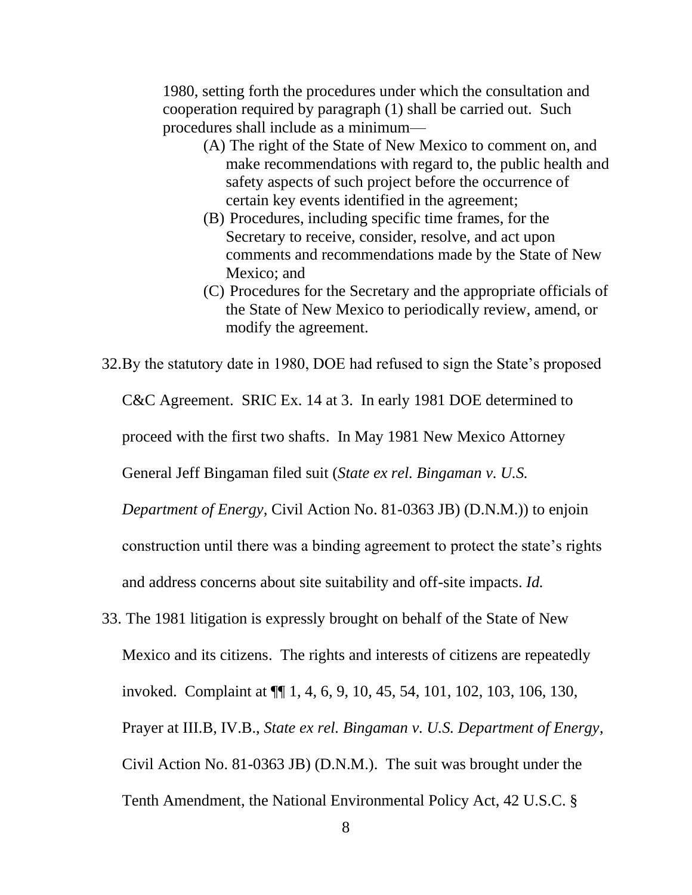1980, setting forth the procedures under which the consultation and cooperation required by paragraph (1) shall be carried out. Such procedures shall include as a minimum—

- (A) The right of the State of New Mexico to comment on, and make recommendations with regard to, the public health and safety aspects of such project before the occurrence of certain key events identified in the agreement;
- (B) Procedures, including specific time frames, for the Secretary to receive, consider, resolve, and act upon comments and recommendations made by the State of New Mexico; and
- (C) Procedures for the Secretary and the appropriate officials of the State of New Mexico to periodically review, amend, or modify the agreement.

32.By the statutory date in 1980, DOE had refused to sign the State's proposed C&C Agreement. SRIC Ex. 14 at 3. In early 1981 DOE determined to proceed with the first two shafts. In May 1981 New Mexico Attorney General Jeff Bingaman filed suit (*State ex rel. Bingaman v. U.S. Department of Energy*, Civil Action No. 81-0363 JB) (D.N.M.)) to enjoin construction until there was a binding agreement to protect the state's rights and address concerns about site suitability and off-site impacts. *Id.* 

33. The 1981 litigation is expressly brought on behalf of the State of New Mexico and its citizens. The rights and interests of citizens are repeatedly invoked. Complaint at ¶¶ 1, 4, 6, 9, 10, 45, 54, 101, 102, 103, 106, 130, Prayer at III.B, IV.B., *State ex rel. Bingaman v. U.S. Department of Energy*, Civil Action No. 81-0363 JB) (D.N.M.). The suit was brought under the Tenth Amendment, the National Environmental Policy Act, 42 U.S.C. §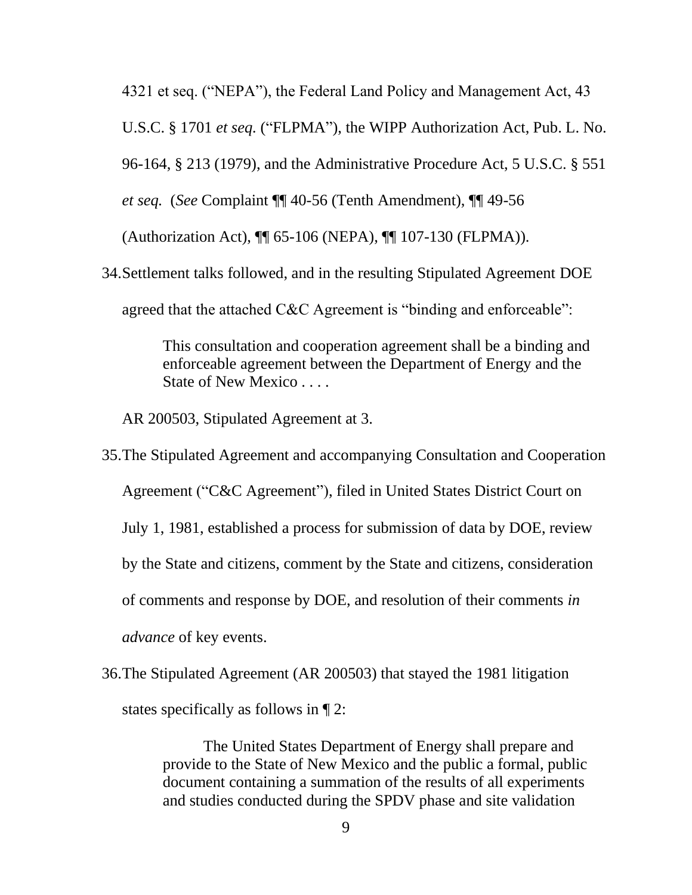4321 et seq. ("NEPA"), the Federal Land Policy and Management Act, 43 U.S.C. § 1701 *et seq.* ("FLPMA"), the WIPP Authorization Act, Pub. L. No. 96-164, § 213 (1979), and the Administrative Procedure Act, 5 U.S.C. § 551 *et seq.* (*See* Complaint ¶¶ 40-56 (Tenth Amendment), ¶¶ 49-56 (Authorization Act), ¶¶ 65-106 (NEPA), ¶¶ 107-130 (FLPMA)).

34.Settlement talks followed, and in the resulting Stipulated Agreement DOE agreed that the attached C&C Agreement is "binding and enforceable":

> This consultation and cooperation agreement shall be a binding and enforceable agreement between the Department of Energy and the State of New Mexico . . . .

AR 200503, Stipulated Agreement at 3.

35.The Stipulated Agreement and accompanying Consultation and Cooperation Agreement ("C&C Agreement"), filed in United States District Court on July 1, 1981, established a process for submission of data by DOE, review by the State and citizens, comment by the State and citizens, consideration of comments and response by DOE, and resolution of their comments *in advance* of key events.

36.The Stipulated Agreement (AR 200503) that stayed the 1981 litigation states specifically as follows in ¶ 2:

> The United States Department of Energy shall prepare and provide to the State of New Mexico and the public a formal, public document containing a summation of the results of all experiments and studies conducted during the SPDV phase and site validation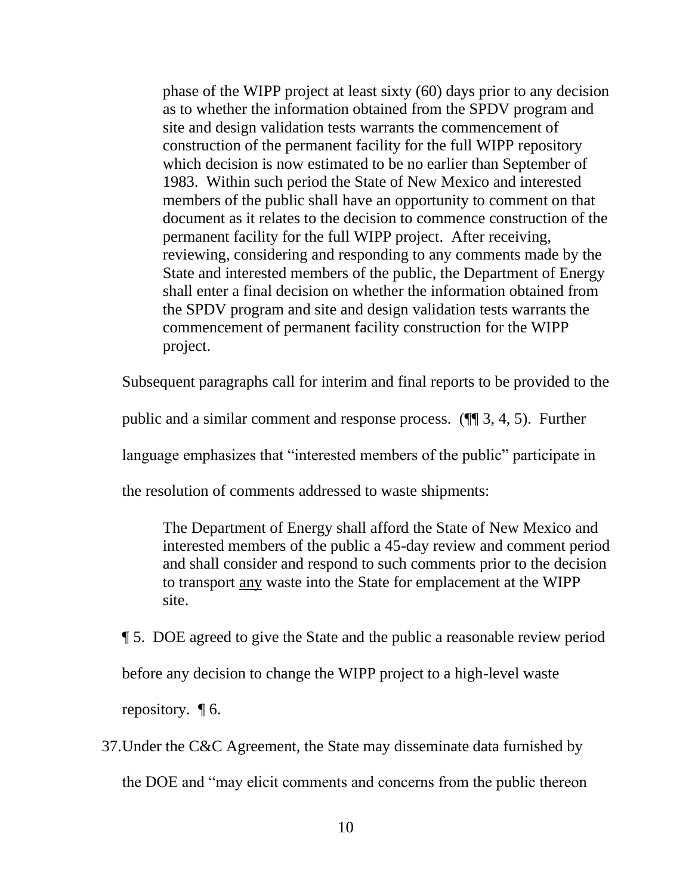phase of the WIPP project at least sixty (60) days prior to any decision as to whether the information obtained from the SPDV program and site and design validation tests warrants the commencement of construction of the permanent facility for the full WIPP repository which decision is now estimated to be no earlier than September of 1983. Within such period the State of New Mexico and interested members of the public shall have an opportunity to comment on that document as it relates to the decision to commence construction of the permanent facility for the full WIPP project. After receiving, reviewing, considering and responding to any comments made by the State and interested members of the public, the Department of Energy shall enter a final decision on whether the information obtained from the SPDV program and site and design validation tests warrants the commencement of permanent facility construction for the WIPP project.

Subsequent paragraphs call for interim and final reports to be provided to the

public and a similar comment and response process. (¶¶ 3, 4, 5). Further

language emphasizes that "interested members of the public" participate in

the resolution of comments addressed to waste shipments:

The Department of Energy shall afford the State of New Mexico and interested members of the public a 45-day review and comment period and shall consider and respond to such comments prior to the decision to transport any waste into the State for emplacement at the WIPP site.

¶ 5. DOE agreed to give the State and the public a reasonable review period before any decision to change the WIPP project to a high-level waste

repository.  $\P$  6.

37.Under the C&C Agreement, the State may disseminate data furnished by the DOE and "may elicit comments and concerns from the public thereon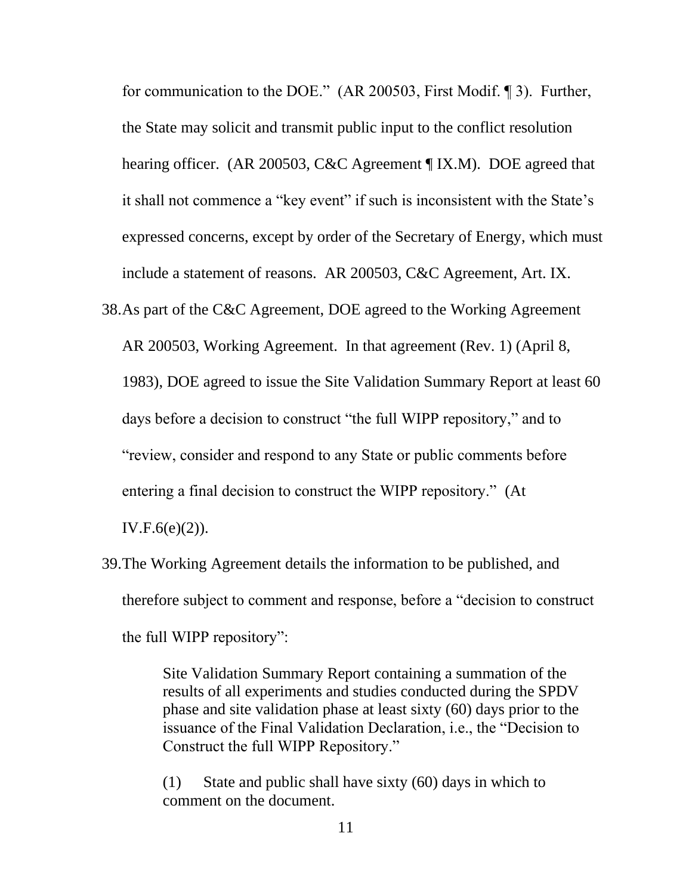for communication to the DOE." (AR 200503, First Modif. ¶ 3). Further, the State may solicit and transmit public input to the conflict resolution hearing officer. (AR 200503, C&C Agreement ¶ IX.M). DOE agreed that it shall not commence a "key event" if such is inconsistent with the State's expressed concerns, except by order of the Secretary of Energy, which must include a statement of reasons. AR 200503, C&C Agreement, Art. IX.

- 38.As part of the C&C Agreement, DOE agreed to the Working Agreement AR 200503, Working Agreement. In that agreement (Rev. 1) (April 8, 1983), DOE agreed to issue the Site Validation Summary Report at least 60 days before a decision to construct "the full WIPP repository," and to "review, consider and respond to any State or public comments before entering a final decision to construct the WIPP repository." (At IV.F. $6(e)(2)$ ).
- 39.The Working Agreement details the information to be published, and therefore subject to comment and response, before a "decision to construct the full WIPP repository":

Site Validation Summary Report containing a summation of the results of all experiments and studies conducted during the SPDV phase and site validation phase at least sixty (60) days prior to the issuance of the Final Validation Declaration, i.e., the "Decision to Construct the full WIPP Repository."

(1) State and public shall have sixty (60) days in which to comment on the document.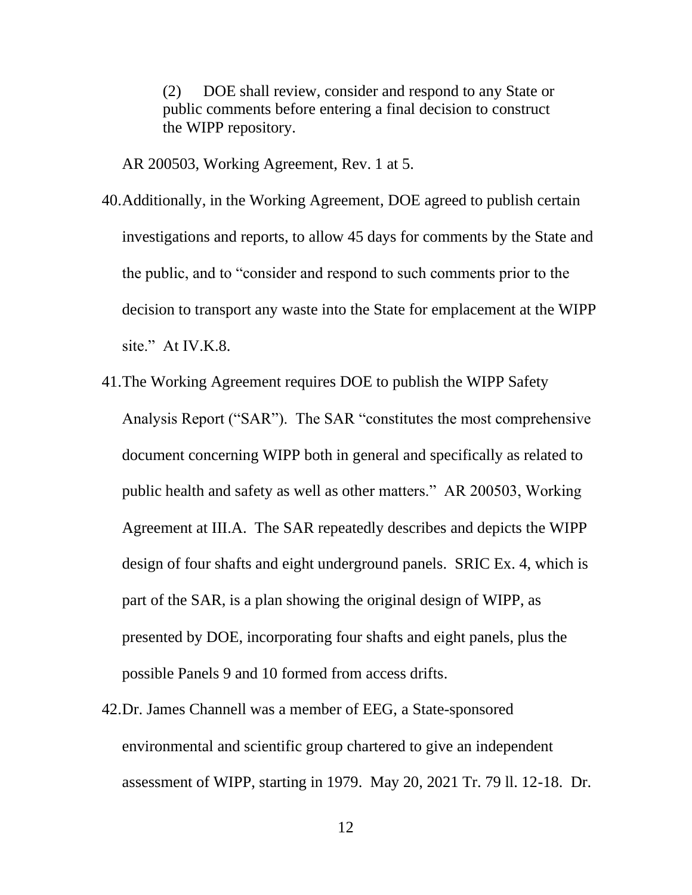(2) DOE shall review, consider and respond to any State or public comments before entering a final decision to construct the WIPP repository.

AR 200503, Working Agreement, Rev. 1 at 5.

- 40.Additionally, in the Working Agreement, DOE agreed to publish certain investigations and reports, to allow 45 days for comments by the State and the public, and to "consider and respond to such comments prior to the decision to transport any waste into the State for emplacement at the WIPP site." At IV.K.8.
- 41.The Working Agreement requires DOE to publish the WIPP Safety Analysis Report ("SAR"). The SAR "constitutes the most comprehensive document concerning WIPP both in general and specifically as related to public health and safety as well as other matters." AR 200503, Working Agreement at III.A. The SAR repeatedly describes and depicts the WIPP design of four shafts and eight underground panels. SRIC Ex. 4, which is part of the SAR, is a plan showing the original design of WIPP, as presented by DOE, incorporating four shafts and eight panels, plus the possible Panels 9 and 10 formed from access drifts.
- 42.Dr. James Channell was a member of EEG, a State-sponsored environmental and scientific group chartered to give an independent assessment of WIPP, starting in 1979. May 20, 2021 Tr. 79 ll. 12-18. Dr.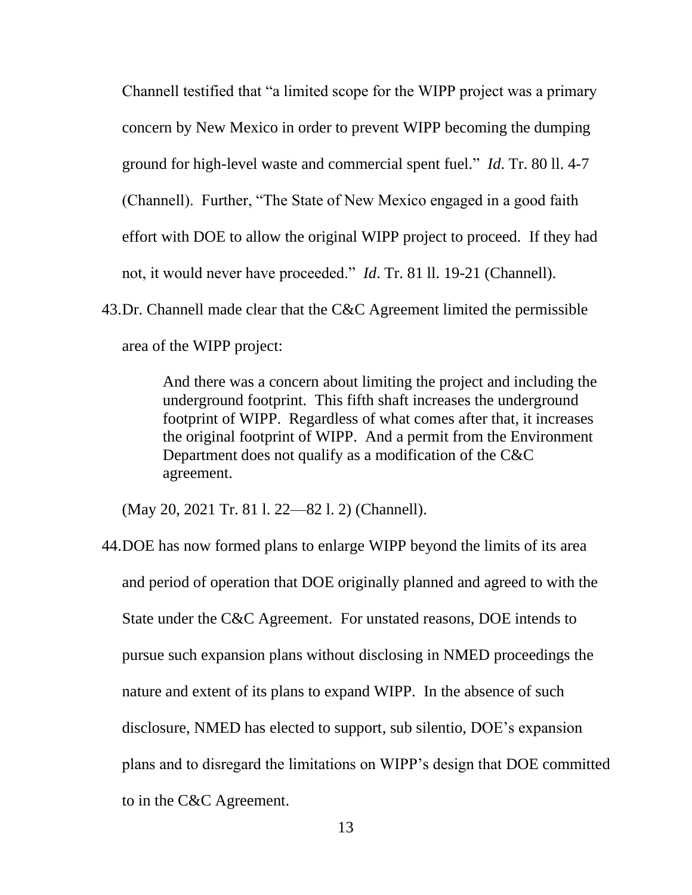Channell testified that "a limited scope for the WIPP project was a primary concern by New Mexico in order to prevent WIPP becoming the dumping ground for high-level waste and commercial spent fuel." *Id*. Tr. 80 ll. 4-7 (Channell). Further, "The State of New Mexico engaged in a good faith effort with DOE to allow the original WIPP project to proceed. If they had not, it would never have proceeded." *Id*. Tr. 81 ll. 19-21 (Channell).

43.Dr. Channell made clear that the C&C Agreement limited the permissible area of the WIPP project:

> And there was a concern about limiting the project and including the underground footprint. This fifth shaft increases the underground footprint of WIPP. Regardless of what comes after that, it increases the original footprint of WIPP. And a permit from the Environment Department does not qualify as a modification of the C&C agreement.

(May 20, 2021 Tr. 81 l. 22—82 l. 2) (Channell).

44.DOE has now formed plans to enlarge WIPP beyond the limits of its area and period of operation that DOE originally planned and agreed to with the State under the C&C Agreement. For unstated reasons, DOE intends to pursue such expansion plans without disclosing in NMED proceedings the nature and extent of its plans to expand WIPP. In the absence of such disclosure, NMED has elected to support, sub silentio, DOE's expansion plans and to disregard the limitations on WIPP's design that DOE committed to in the C&C Agreement.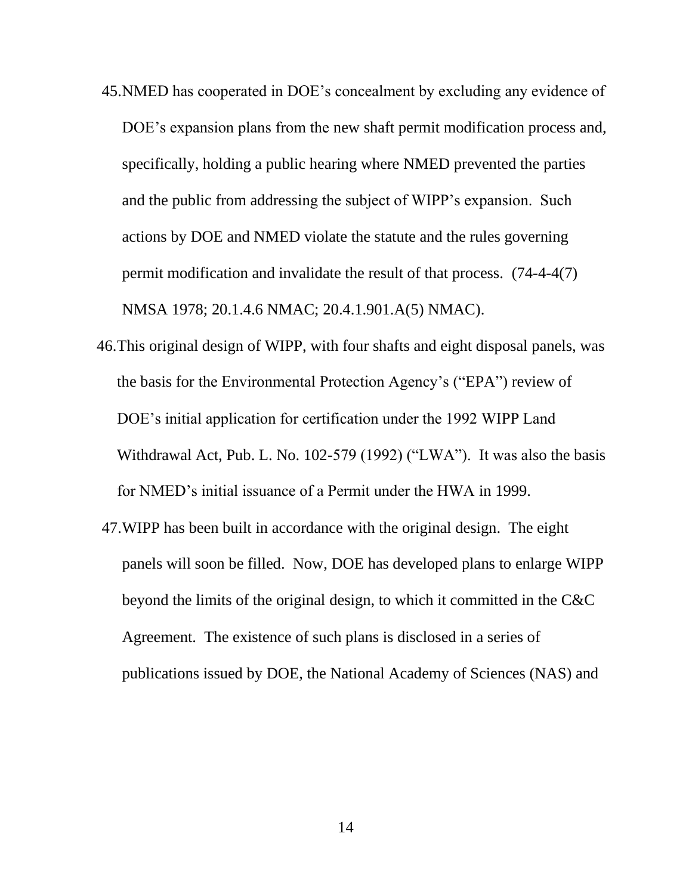- 45.NMED has cooperated in DOE's concealment by excluding any evidence of DOE's expansion plans from the new shaft permit modification process and, specifically, holding a public hearing where NMED prevented the parties and the public from addressing the subject of WIPP's expansion. Such actions by DOE and NMED violate the statute and the rules governing permit modification and invalidate the result of that process. (74-4-4(7) NMSA 1978; 20.1.4.6 NMAC; 20.4.1.901.A(5) NMAC).
- 46.This original design of WIPP, with four shafts and eight disposal panels, was the basis for the Environmental Protection Agency's ("EPA") review of DOE's initial application for certification under the 1992 WIPP Land Withdrawal Act, Pub. L. No. 102-579 (1992) ("LWA"). It was also the basis for NMED's initial issuance of a Permit under the HWA in 1999.
- 47.WIPP has been built in accordance with the original design. The eight panels will soon be filled. Now, DOE has developed plans to enlarge WIPP beyond the limits of the original design, to which it committed in the C&C Agreement. The existence of such plans is disclosed in a series of publications issued by DOE, the National Academy of Sciences (NAS) and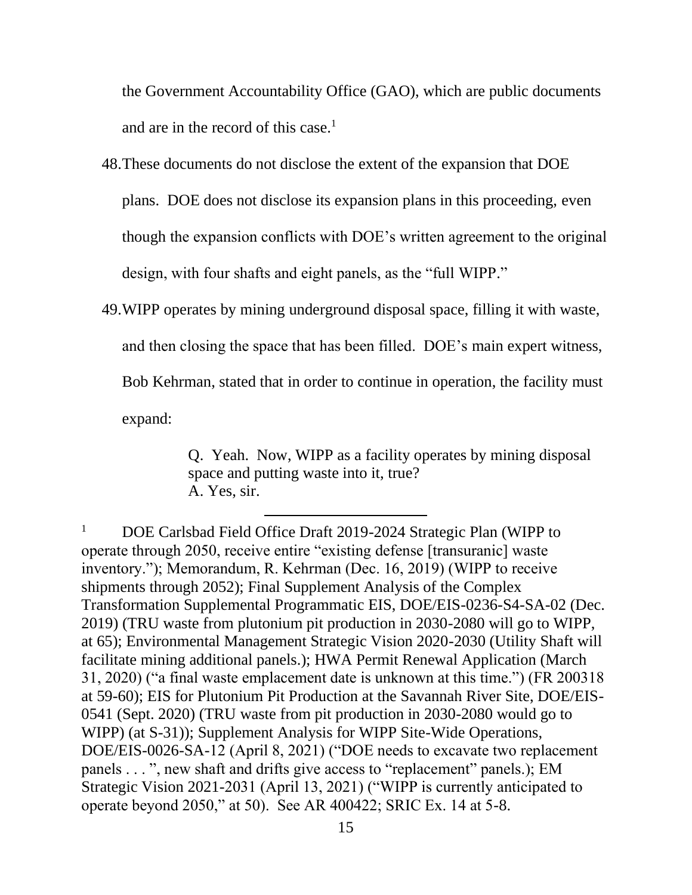the Government Accountability Office (GAO), which are public documents and are in the record of this case.<sup>1</sup>

- 48.These documents do not disclose the extent of the expansion that DOE plans. DOE does not disclose its expansion plans in this proceeding, even though the expansion conflicts with DOE's written agreement to the original design, with four shafts and eight panels, as the "full WIPP."
- 49.WIPP operates by mining underground disposal space, filling it with waste, and then closing the space that has been filled. DOE's main expert witness, Bob Kehrman, stated that in order to continue in operation, the facility must expand:

Q. Yeah. Now, WIPP as a facility operates by mining disposal space and putting waste into it, true? A. Yes, sir.

<sup>&</sup>lt;sup>1</sup> DOE Carlsbad Field Office Draft 2019-2024 Strategic Plan (WIPP to operate through 2050, receive entire "existing defense [transuranic] waste inventory."); Memorandum, R. Kehrman (Dec. 16, 2019) (WIPP to receive shipments through 2052); Final Supplement Analysis of the Complex Transformation Supplemental Programmatic EIS, DOE/EIS-0236-S4-SA-02 (Dec. 2019) (TRU waste from plutonium pit production in 2030-2080 will go to WIPP, at 65); Environmental Management Strategic Vision 2020-2030 (Utility Shaft will facilitate mining additional panels.); HWA Permit Renewal Application (March 31, 2020) ("a final waste emplacement date is unknown at this time.") (FR 200318 at 59-60); EIS for Plutonium Pit Production at the Savannah River Site, DOE/EIS-0541 (Sept. 2020) (TRU waste from pit production in 2030-2080 would go to WIPP) (at S-31)); Supplement Analysis for WIPP Site-Wide Operations, DOE/EIS-0026-SA-12 (April 8, 2021) ("DOE needs to excavate two replacement panels . . . ", new shaft and drifts give access to "replacement" panels.); EM Strategic Vision 2021-2031 (April 13, 2021) ("WIPP is currently anticipated to operate beyond 2050," at 50). See AR 400422; SRIC Ex. 14 at 5-8.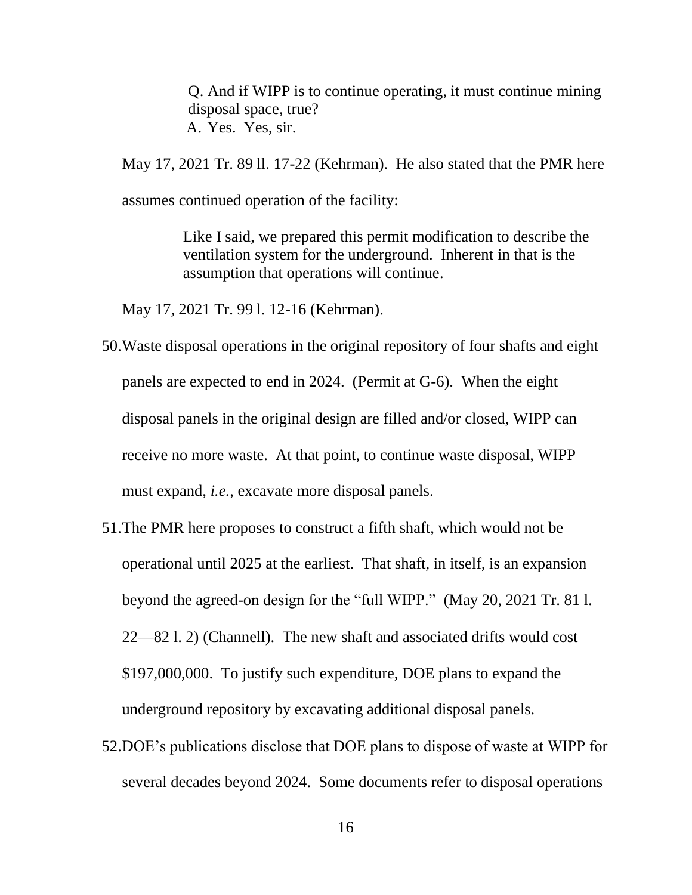Q. And if WIPP is to continue operating, it must continue mining disposal space, true? A. Yes. Yes, sir.

May 17, 2021 Tr. 89 ll. 17-22 (Kehrman). He also stated that the PMR here assumes continued operation of the facility:

> Like I said, we prepared this permit modification to describe the ventilation system for the underground. Inherent in that is the assumption that operations will continue.

May 17, 2021 Tr. 99 l. 12-16 (Kehrman).

- 50.Waste disposal operations in the original repository of four shafts and eight panels are expected to end in 2024. (Permit at G-6). When the eight disposal panels in the original design are filled and/or closed, WIPP can receive no more waste. At that point, to continue waste disposal, WIPP must expand, *i.e.*, excavate more disposal panels.
- 51.The PMR here proposes to construct a fifth shaft, which would not be operational until 2025 at the earliest. That shaft, in itself, is an expansion beyond the agreed-on design for the "full WIPP." (May 20, 2021 Tr. 81 l. 22—82 l. 2) (Channell). The new shaft and associated drifts would cost \$197,000,000. To justify such expenditure, DOE plans to expand the underground repository by excavating additional disposal panels.
- 52.DOE's publications disclose that DOE plans to dispose of waste at WIPP for several decades beyond 2024. Some documents refer to disposal operations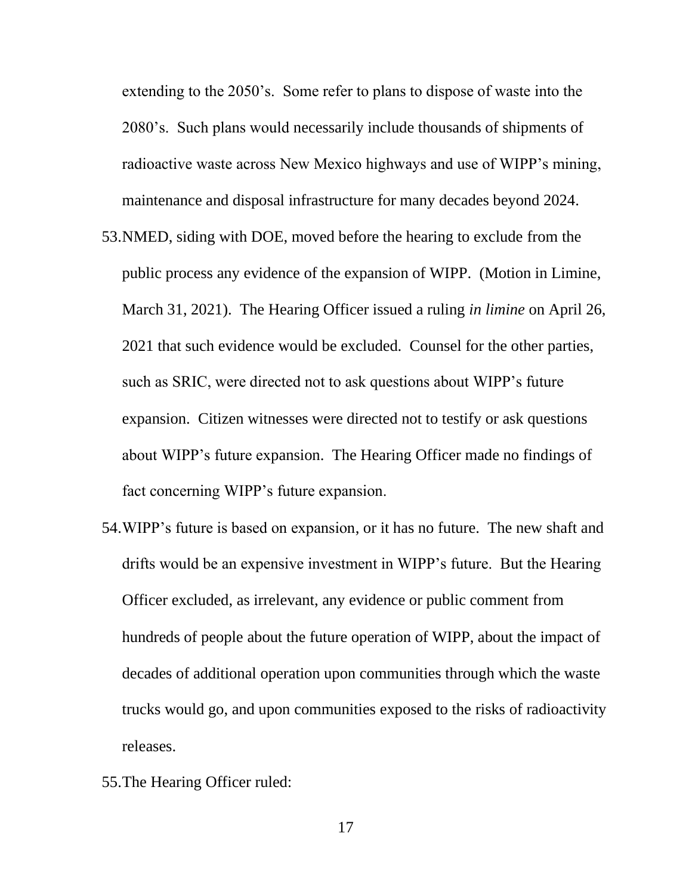extending to the 2050's. Some refer to plans to dispose of waste into the 2080's. Such plans would necessarily include thousands of shipments of radioactive waste across New Mexico highways and use of WIPP's mining, maintenance and disposal infrastructure for many decades beyond 2024.

- 53.NMED, siding with DOE, moved before the hearing to exclude from the public process any evidence of the expansion of WIPP. (Motion in Limine, March 31, 2021). The Hearing Officer issued a ruling *in limine* on April 26, 2021 that such evidence would be excluded. Counsel for the other parties, such as SRIC, were directed not to ask questions about WIPP's future expansion. Citizen witnesses were directed not to testify or ask questions about WIPP's future expansion. The Hearing Officer made no findings of fact concerning WIPP's future expansion.
- 54.WIPP's future is based on expansion, or it has no future. The new shaft and drifts would be an expensive investment in WIPP's future. But the Hearing Officer excluded, as irrelevant, any evidence or public comment from hundreds of people about the future operation of WIPP, about the impact of decades of additional operation upon communities through which the waste trucks would go, and upon communities exposed to the risks of radioactivity releases.
- 55.The Hearing Officer ruled:

17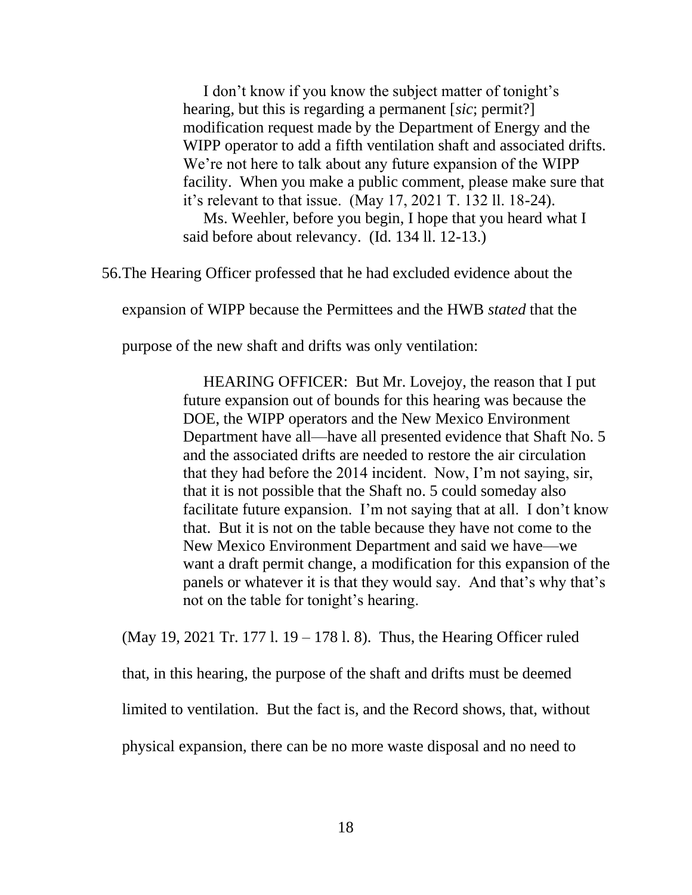I don't know if you know the subject matter of tonight's hearing, but this is regarding a permanent [*sic*; permit?] modification request made by the Department of Energy and the WIPP operator to add a fifth ventilation shaft and associated drifts. We're not here to talk about any future expansion of the WIPP facility. When you make a public comment, please make sure that it's relevant to that issue. (May 17, 2021 T. 132 ll. 18-24).

Ms. Weehler, before you begin, I hope that you heard what I said before about relevancy. (Id. 134 ll. 12-13.)

56.The Hearing Officer professed that he had excluded evidence about the

expansion of WIPP because the Permittees and the HWB *stated* that the

purpose of the new shaft and drifts was only ventilation:

HEARING OFFICER: But Mr. Lovejoy, the reason that I put future expansion out of bounds for this hearing was because the DOE, the WIPP operators and the New Mexico Environment Department have all—have all presented evidence that Shaft No. 5 and the associated drifts are needed to restore the air circulation that they had before the 2014 incident. Now, I'm not saying, sir, that it is not possible that the Shaft no. 5 could someday also facilitate future expansion. I'm not saying that at all. I don't know that. But it is not on the table because they have not come to the New Mexico Environment Department and said we have—we want a draft permit change, a modification for this expansion of the panels or whatever it is that they would say. And that's why that's not on the table for tonight's hearing.

(May 19, 2021 Tr. 177 l. 19 – 178 l. 8). Thus, the Hearing Officer ruled that, in this hearing, the purpose of the shaft and drifts must be deemed limited to ventilation. But the fact is, and the Record shows, that, without

physical expansion, there can be no more waste disposal and no need to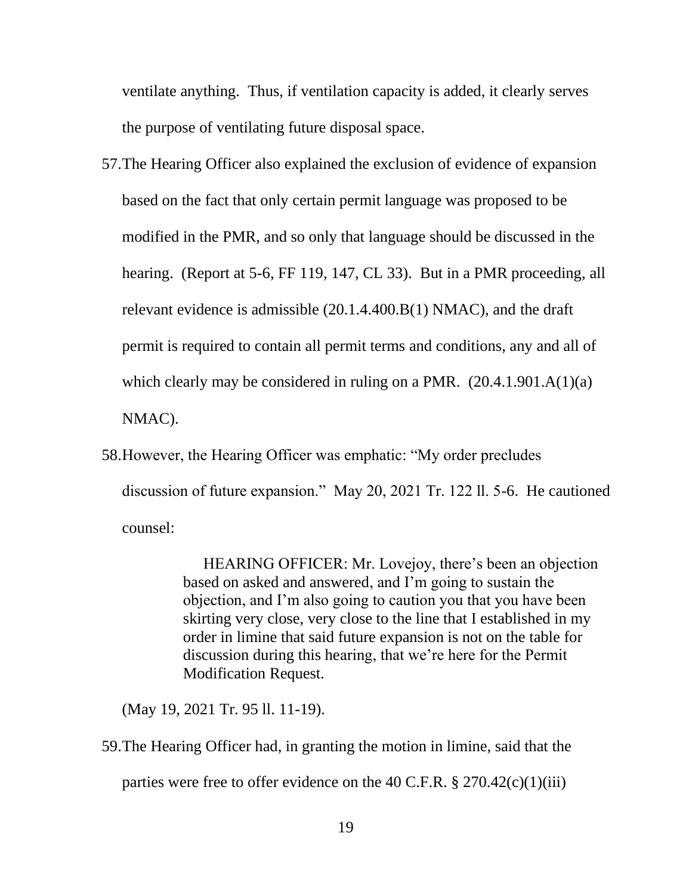ventilate anything. Thus, if ventilation capacity is added, it clearly serves the purpose of ventilating future disposal space.

- 57.The Hearing Officer also explained the exclusion of evidence of expansion based on the fact that only certain permit language was proposed to be modified in the PMR, and so only that language should be discussed in the hearing. (Report at 5-6, FF 119, 147, CL 33). But in a PMR proceeding, all relevant evidence is admissible (20.1.4.400.B(1) NMAC), and the draft permit is required to contain all permit terms and conditions, any and all of which clearly may be considered in ruling on a PMR.  $(20.4.1.901.A(1)(a))$ NMAC).
- 58.However, the Hearing Officer was emphatic: "My order precludes discussion of future expansion." May 20, 2021 Tr. 122 ll. 5-6. He cautioned counsel:

HEARING OFFICER: Mr. Lovejoy, there's been an objection based on asked and answered, and I'm going to sustain the objection, and I'm also going to caution you that you have been skirting very close, very close to the line that I established in my order in limine that said future expansion is not on the table for discussion during this hearing, that we're here for the Permit Modification Request.

(May 19, 2021 Tr. 95 ll. 11-19).

59.The Hearing Officer had, in granting the motion in limine, said that the

parties were free to offer evidence on the 40 C.F.R.  $\S 270.42(c)(1)(iii)$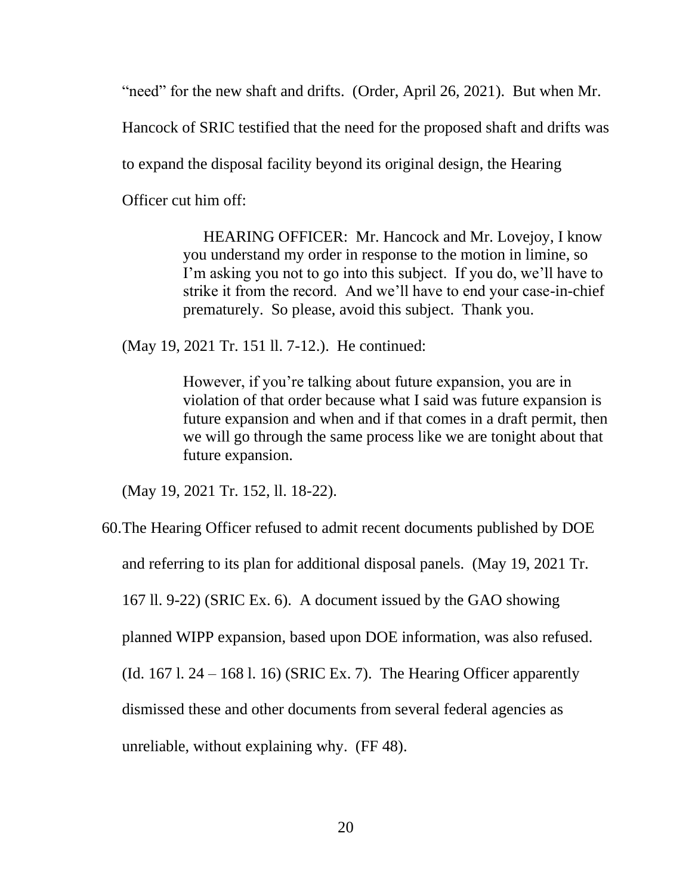"need" for the new shaft and drifts. (Order, April 26, 2021). But when Mr.

Hancock of SRIC testified that the need for the proposed shaft and drifts was

to expand the disposal facility beyond its original design, the Hearing

Officer cut him off:

HEARING OFFICER: Mr. Hancock and Mr. Lovejoy, I know you understand my order in response to the motion in limine, so I'm asking you not to go into this subject. If you do, we'll have to strike it from the record. And we'll have to end your case-in-chief prematurely. So please, avoid this subject. Thank you.

(May 19, 2021 Tr. 151 ll. 7-12.). He continued:

However, if you're talking about future expansion, you are in violation of that order because what I said was future expansion is future expansion and when and if that comes in a draft permit, then we will go through the same process like we are tonight about that future expansion.

(May 19, 2021 Tr. 152, ll. 18-22).

60.The Hearing Officer refused to admit recent documents published by DOE and referring to its plan for additional disposal panels. (May 19, 2021 Tr. 167 ll. 9-22) (SRIC Ex. 6). A document issued by the GAO showing planned WIPP expansion, based upon DOE information, was also refused. (Id. 167 l.  $24 - 168$  l. 16) (SRIC Ex. 7). The Hearing Officer apparently dismissed these and other documents from several federal agencies as unreliable, without explaining why. (FF 48).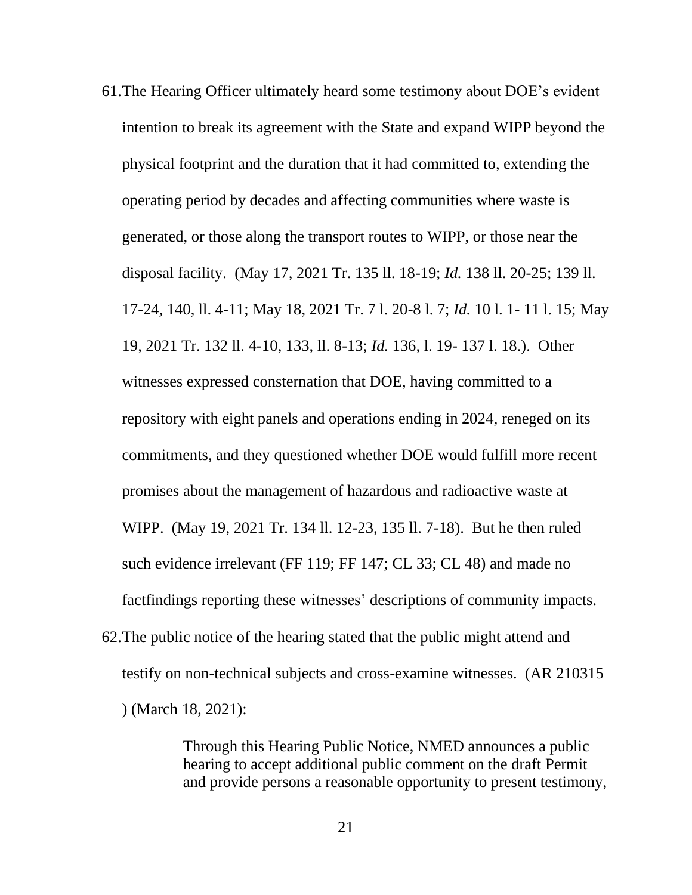61.The Hearing Officer ultimately heard some testimony about DOE's evident intention to break its agreement with the State and expand WIPP beyond the physical footprint and the duration that it had committed to, extending the operating period by decades and affecting communities where waste is generated, or those along the transport routes to WIPP, or those near the disposal facility. (May 17, 2021 Tr. 135 ll. 18-19; *Id.* 138 ll. 20-25; 139 ll. 17-24, 140, ll. 4-11; May 18, 2021 Tr. 7 l. 20-8 l. 7; *Id.* 10 l. 1- 11 l. 15; May 19, 2021 Tr. 132 ll. 4-10, 133, ll. 8-13; *Id.* 136, l. 19- 137 l. 18.). Other witnesses expressed consternation that DOE, having committed to a repository with eight panels and operations ending in 2024, reneged on its commitments, and they questioned whether DOE would fulfill more recent promises about the management of hazardous and radioactive waste at WIPP. (May 19, 2021 Tr. 134 ll. 12-23, 135 ll. 7-18). But he then ruled such evidence irrelevant (FF 119; FF 147; CL 33; CL 48) and made no factfindings reporting these witnesses' descriptions of community impacts. 62.The public notice of the hearing stated that the public might attend and testify on non-technical subjects and cross-examine witnesses. (AR 210315

) (March 18, 2021):

Through this Hearing Public Notice, NMED announces a public hearing to accept additional public comment on the draft Permit and provide persons a reasonable opportunity to present testimony,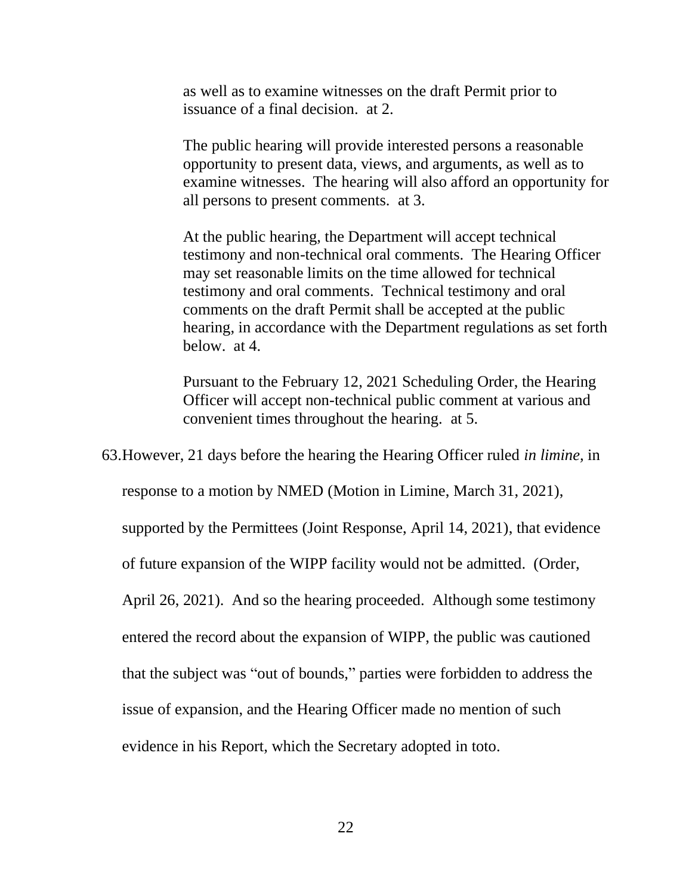as well as to examine witnesses on the draft Permit prior to issuance of a final decision. at 2.

The public hearing will provide interested persons a reasonable opportunity to present data, views, and arguments, as well as to examine witnesses. The hearing will also afford an opportunity for all persons to present comments. at 3.

At the public hearing, the Department will accept technical testimony and non-technical oral comments. The Hearing Officer may set reasonable limits on the time allowed for technical testimony and oral comments. Technical testimony and oral comments on the draft Permit shall be accepted at the public hearing, in accordance with the Department regulations as set forth below. at 4.

Pursuant to the February 12, 2021 Scheduling Order, the Hearing Officer will accept non-technical public comment at various and convenient times throughout the hearing. at 5.

63.However, 21 days before the hearing the Hearing Officer ruled *in limine,* in

response to a motion by NMED (Motion in Limine, March 31, 2021),

supported by the Permittees (Joint Response, April 14, 2021), that evidence

of future expansion of the WIPP facility would not be admitted. (Order,

April 26, 2021). And so the hearing proceeded. Although some testimony

entered the record about the expansion of WIPP, the public was cautioned

that the subject was "out of bounds," parties were forbidden to address the

issue of expansion, and the Hearing Officer made no mention of such

evidence in his Report, which the Secretary adopted in toto.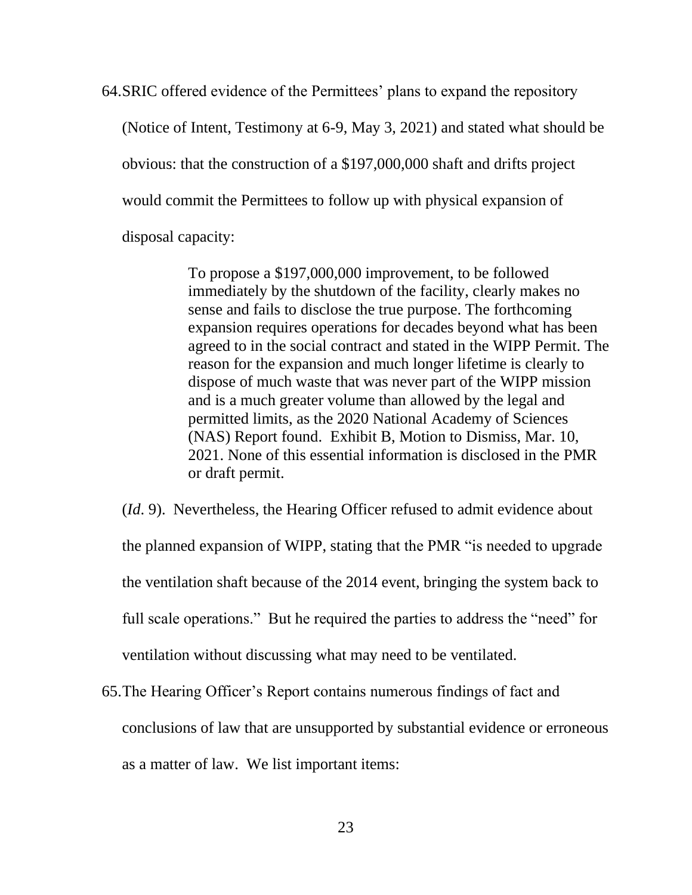64.SRIC offered evidence of the Permittees' plans to expand the repository (Notice of Intent, Testimony at 6-9, May 3, 2021) and stated what should be obvious: that the construction of a \$197,000,000 shaft and drifts project would commit the Permittees to follow up with physical expansion of disposal capacity:

> To propose a \$197,000,000 improvement, to be followed immediately by the shutdown of the facility, clearly makes no sense and fails to disclose the true purpose. The forthcoming expansion requires operations for decades beyond what has been agreed to in the social contract and stated in the WIPP Permit. The reason for the expansion and much longer lifetime is clearly to dispose of much waste that was never part of the WIPP mission and is a much greater volume than allowed by the legal and permitted limits, as the 2020 National Academy of Sciences (NAS) Report found. Exhibit B, Motion to Dismiss, Mar. 10, 2021. None of this essential information is disclosed in the PMR or draft permit.

(*Id*. 9). Nevertheless, the Hearing Officer refused to admit evidence about the planned expansion of WIPP, stating that the PMR "is needed to upgrade the ventilation shaft because of the 2014 event, bringing the system back to full scale operations." But he required the parties to address the "need" for ventilation without discussing what may need to be ventilated.

65.The Hearing Officer's Report contains numerous findings of fact and conclusions of law that are unsupported by substantial evidence or erroneous as a matter of law. We list important items: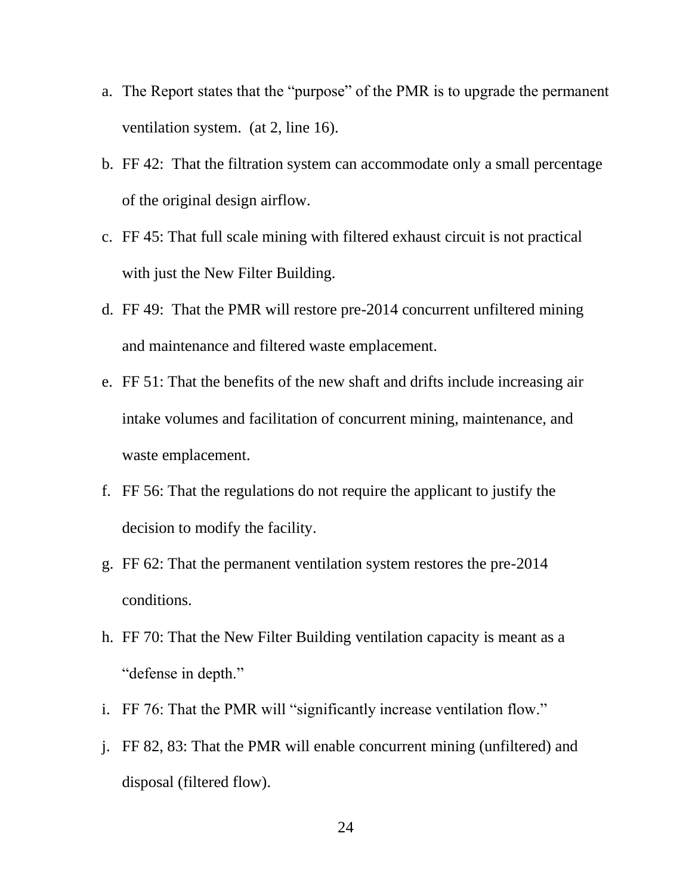- a. The Report states that the "purpose" of the PMR is to upgrade the permanent ventilation system. (at 2, line 16).
- b. FF 42: That the filtration system can accommodate only a small percentage of the original design airflow.
- c. FF 45: That full scale mining with filtered exhaust circuit is not practical with just the New Filter Building.
- d. FF 49: That the PMR will restore pre-2014 concurrent unfiltered mining and maintenance and filtered waste emplacement.
- e. FF 51: That the benefits of the new shaft and drifts include increasing air intake volumes and facilitation of concurrent mining, maintenance, and waste emplacement.
- f. FF 56: That the regulations do not require the applicant to justify the decision to modify the facility.
- g. FF 62: That the permanent ventilation system restores the pre-2014 conditions.
- h. FF 70: That the New Filter Building ventilation capacity is meant as a "defense in depth."
- i. FF 76: That the PMR will "significantly increase ventilation flow."
- j. FF 82, 83: That the PMR will enable concurrent mining (unfiltered) and disposal (filtered flow).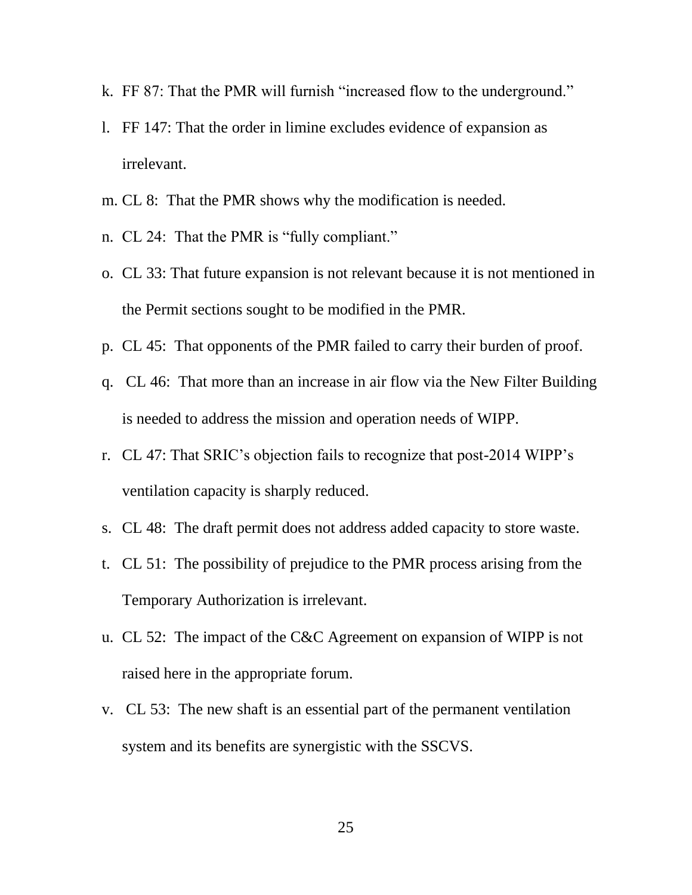- k. FF 87: That the PMR will furnish "increased flow to the underground."
- l. FF 147: That the order in limine excludes evidence of expansion as irrelevant.
- m. CL 8: That the PMR shows why the modification is needed.
- n. CL 24: That the PMR is "fully compliant."
- o. CL 33: That future expansion is not relevant because it is not mentioned in the Permit sections sought to be modified in the PMR.
- p. CL 45: That opponents of the PMR failed to carry their burden of proof.
- q. CL 46: That more than an increase in air flow via the New Filter Building is needed to address the mission and operation needs of WIPP.
- r. CL 47: That SRIC's objection fails to recognize that post-2014 WIPP's ventilation capacity is sharply reduced.
- s. CL 48: The draft permit does not address added capacity to store waste.
- t. CL 51: The possibility of prejudice to the PMR process arising from the Temporary Authorization is irrelevant.
- u. CL 52: The impact of the C&C Agreement on expansion of WIPP is not raised here in the appropriate forum.
- v. CL 53: The new shaft is an essential part of the permanent ventilation system and its benefits are synergistic with the SSCVS.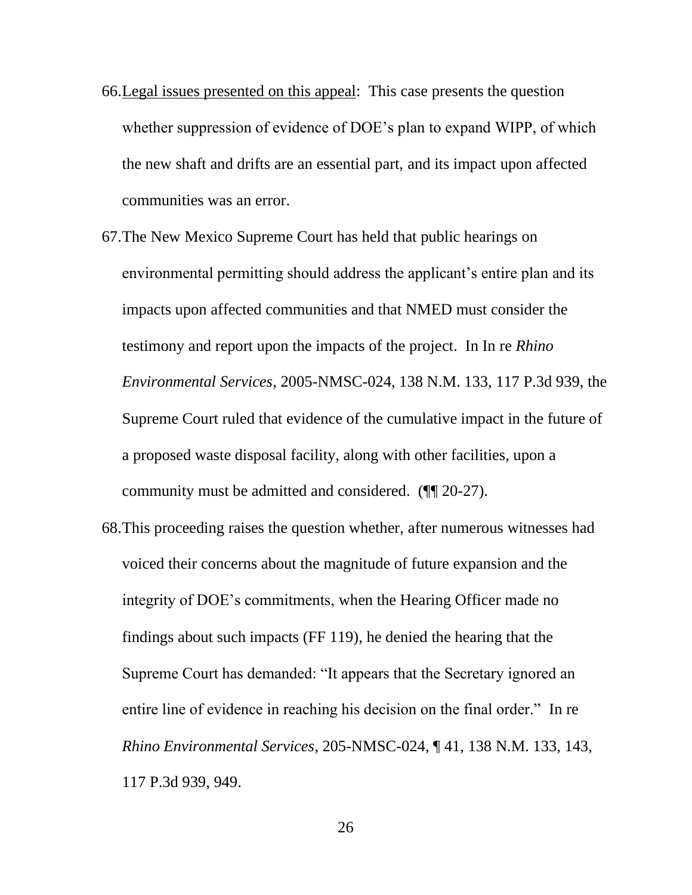- 66.Legal issues presented on this appeal: This case presents the question whether suppression of evidence of DOE's plan to expand WIPP, of which the new shaft and drifts are an essential part, and its impact upon affected communities was an error.
- 67.The New Mexico Supreme Court has held that public hearings on environmental permitting should address the applicant's entire plan and its impacts upon affected communities and that NMED must consider the testimony and report upon the impacts of the project. In In re *Rhino Environmental Services*, 2005-NMSC-024, 138 N.M. 133, 117 P.3d 939, the Supreme Court ruled that evidence of the cumulative impact in the future of a proposed waste disposal facility, along with other facilities, upon a community must be admitted and considered. (¶¶ 20-27).
- 68.This proceeding raises the question whether, after numerous witnesses had voiced their concerns about the magnitude of future expansion and the integrity of DOE's commitments, when the Hearing Officer made no findings about such impacts (FF 119), he denied the hearing that the Supreme Court has demanded: "It appears that the Secretary ignored an entire line of evidence in reaching his decision on the final order." In re *Rhino Environmental Services*, 205-NMSC-024, ¶ 41, 138 N.M. 133, 143, 117 P.3d 939, 949.

26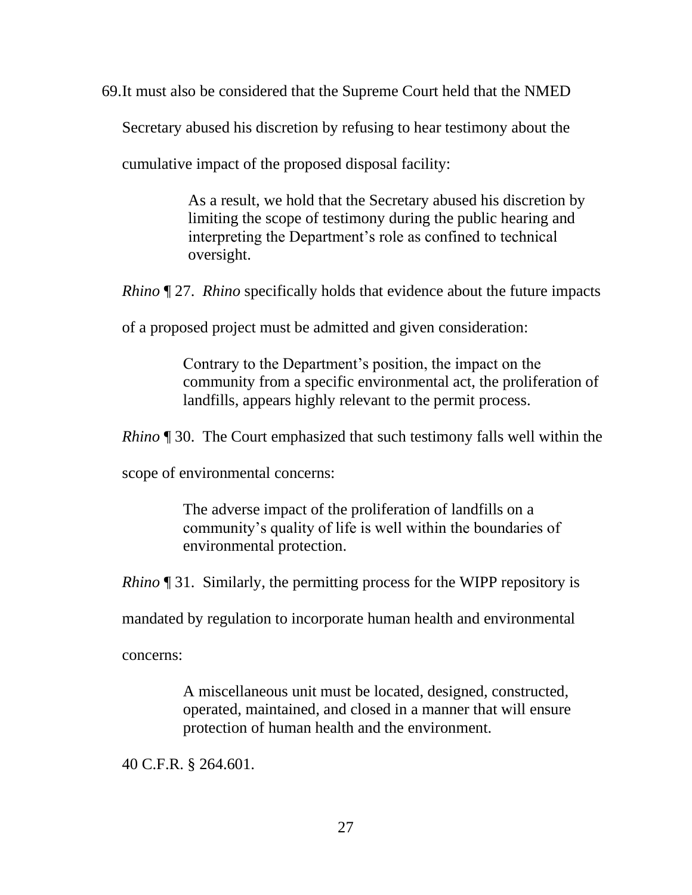69.It must also be considered that the Supreme Court held that the NMED

Secretary abused his discretion by refusing to hear testimony about the

cumulative impact of the proposed disposal facility:

As a result, we hold that the Secretary abused his discretion by limiting the scope of testimony during the public hearing and interpreting the Department's role as confined to technical oversight.

*Rhino* ¶ 27. *Rhino* specifically holds that evidence about the future impacts

of a proposed project must be admitted and given consideration:

Contrary to the Department's position, the impact on the community from a specific environmental act, the proliferation of landfills, appears highly relevant to the permit process.

*Rhino* ¶ 30. The Court emphasized that such testimony falls well within the

scope of environmental concerns:

The adverse impact of the proliferation of landfills on a community's quality of life is well within the boundaries of environmental protection.

*Rhino* ¶ 31. Similarly, the permitting process for the WIPP repository is

mandated by regulation to incorporate human health and environmental

concerns:

A miscellaneous unit must be located, designed, constructed, operated, maintained, and closed in a manner that will ensure protection of human health and the environment.

40 C.F.R. § 264.601.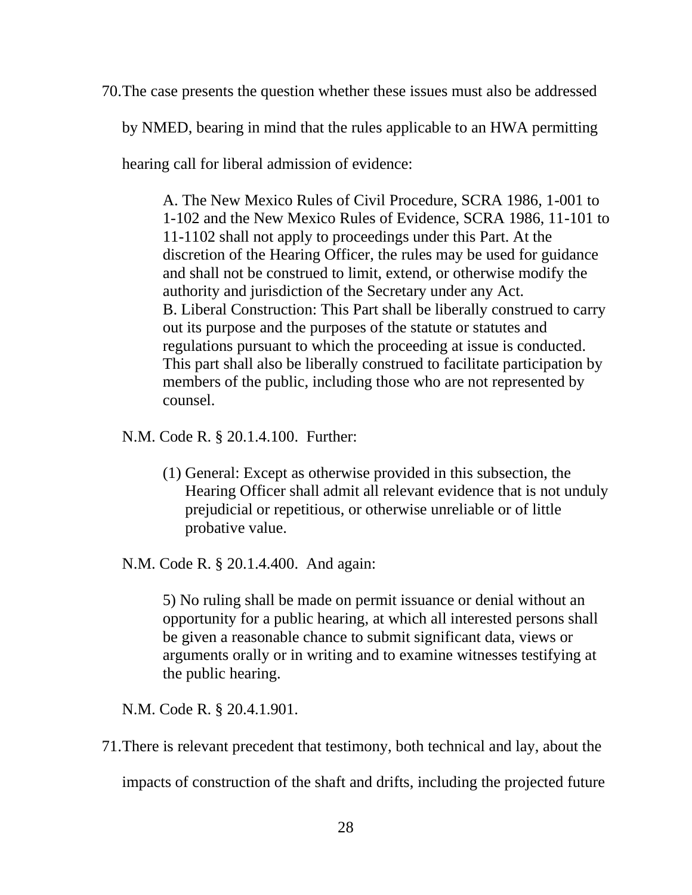70.The case presents the question whether these issues must also be addressed

by NMED, bearing in mind that the rules applicable to an HWA permitting

hearing call for liberal admission of evidence:

A. The New Mexico Rules of Civil Procedure, SCRA 1986, 1-001 to 1-102 and the New Mexico Rules of Evidence, SCRA 1986, 11-101 to 11-1102 shall not apply to proceedings under this Part. At the discretion of the Hearing Officer, the rules may be used for guidance and shall not be construed to limit, extend, or otherwise modify the authority and jurisdiction of the Secretary under any Act. B. Liberal Construction: This Part shall be liberally construed to carry out its purpose and the purposes of the statute or statutes and regulations pursuant to which the proceeding at issue is conducted. This part shall also be liberally construed to facilitate participation by members of the public, including those who are not represented by counsel.

[N.M. Code R. § 20.1.4.100. F](https://advance.lexis.com/api/document/collection/administrative-codes/id/5WX6-M261-F2TK-210R-00009-00?cite=20.1.4.100%20NMAC&context=1000516)urther:

- (1) General: Except as otherwise provided in this subsection, the Hearing Officer shall admit all relevant evidence that is not unduly prejudicial or repetitious, or otherwise unreliable or of little probative value.
- [N.M. Code R. § 20.1.4.400. A](https://advance.lexis.com/api/document/collection/administrative-codes/id/5WX6-M211-JN6B-S50P-00009-00?cite=20.1.4.400%20NMAC&context=1000516)nd again:

5) No ruling shall be made on permit issuance or denial without an opportunity for a public hearing, at which all interested persons shall be given a reasonable chance to submit significant data, views or arguments orally or in writing and to examine witnesses testifying at the public hearing.

[N.M. Code R. § 20.4.1.901.](https://advance.lexis.com/api/document/collection/administrative-codes/id/5WX6-M271-JFDC-X0WK-00009-00?cite=20.4.1.901%20NMAC&context=1000516) 

71.There is relevant precedent that testimony, both technical and lay, about the

impacts of construction of the shaft and drifts, including the projected future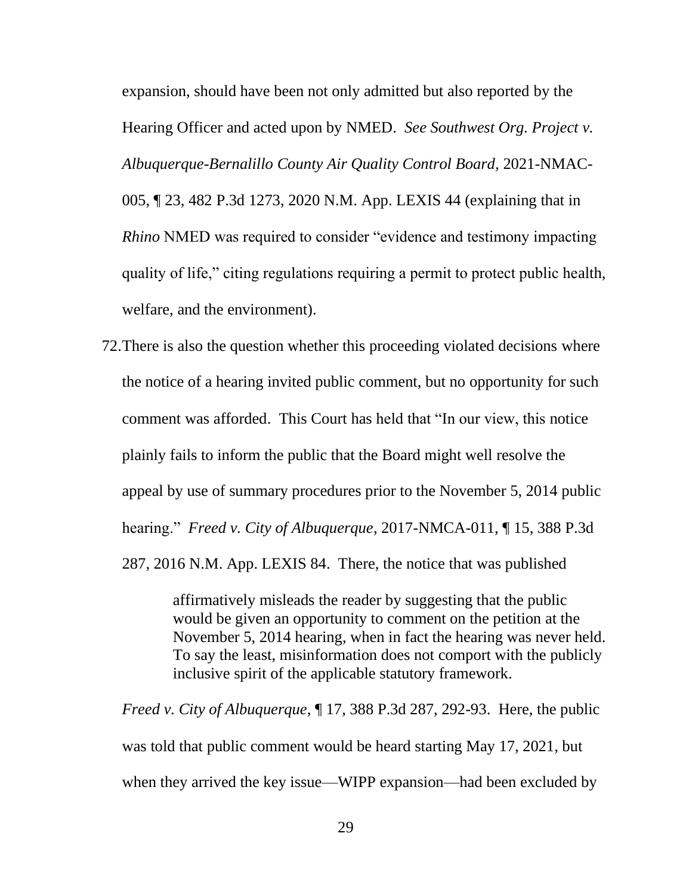expansion, should have been not only admitted but also reported by the Hearing Officer and acted upon by NMED. *See Southwest Org. Project v. Albuquerque-Bernalillo County Air Quality Control Board,* 2021-NMAC-005, ¶ 23, 482 P.3d 1273, 2020 N.M. App. LEXIS 44 (explaining that in *Rhino* NMED was required to consider "evidence and testimony impacting quality of life," citing regulations requiring a permit to protect public health, welfare, and the environment).

72.There is also the question whether this proceeding violated decisions where the notice of a hearing invited public comment, but no opportunity for such comment was afforded. This Court has held that "In our view, this notice plainly fails to inform the public that the Board might well resolve the appeal by use of summary procedures prior to the November 5, 2014 public hearing." *Freed v. City of Albuquerque*, 2017-NMCA-011, ¶ 15, 388 P.3d 287, 2016 N.M. App. LEXIS 84. There, the notice that was published

> affirmatively misleads the reader by suggesting that the public would be given an opportunity to comment on the petition at the November 5, 2014 hearing, when in fact the hearing was never held. To say the least, misinformation does not comport with the publicly inclusive spirit of the applicable statutory framework.

*Freed v. City of Albuquerque*[, ¶ 17, 388 P.3d 287, 292-93. Here, the public](https://advance.lexis.com/api/document/collection/cases/id/5KPS-NFM1-F04J-203K-00000-00?page=17&reporter=3312&cite=2017-NMCA-011&context=1000516)  [was told that public comment would be heard starting May 17, 2021, but](https://advance.lexis.com/api/document/collection/cases/id/5KPS-NFM1-F04J-203K-00000-00?page=17&reporter=3312&cite=2017-NMCA-011&context=1000516)  [when they arrived the key issue—WIPP expansion—had been excluded by](https://advance.lexis.com/api/document/collection/cases/id/5KPS-NFM1-F04J-203K-00000-00?page=17&reporter=3312&cite=2017-NMCA-011&context=1000516)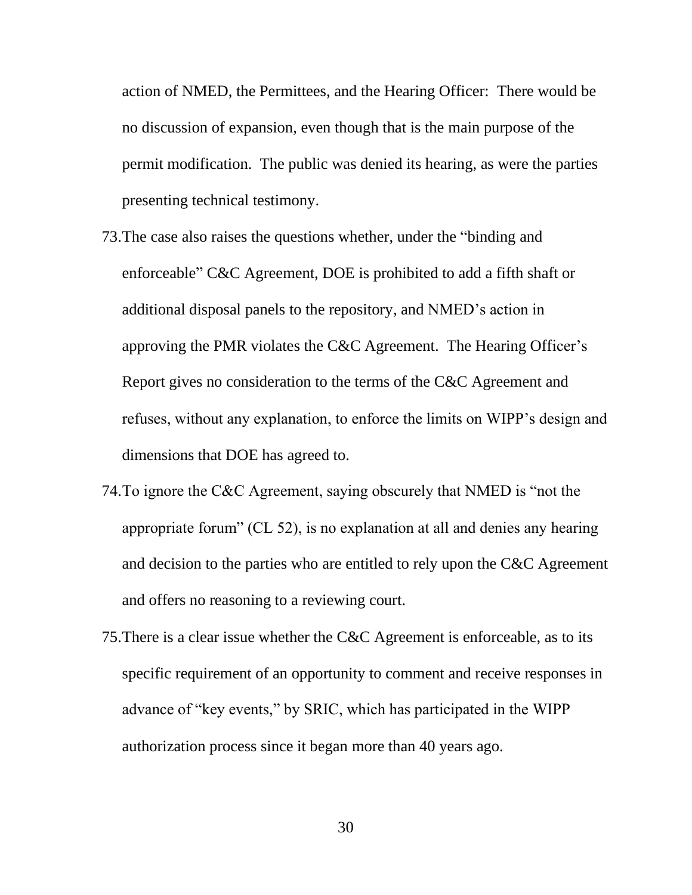[action of NMED, the Permittees, and the Hearing Officer: There would be](https://advance.lexis.com/api/document/collection/cases/id/5KPS-NFM1-F04J-203K-00000-00?page=17&reporter=3312&cite=2017-NMCA-011&context=1000516)  [no discussion of expansion, even though that is the main purpose of the](https://advance.lexis.com/api/document/collection/cases/id/5KPS-NFM1-F04J-203K-00000-00?page=17&reporter=3312&cite=2017-NMCA-011&context=1000516)  [permit modification. The public was denied its hearing, as were the parties](https://advance.lexis.com/api/document/collection/cases/id/5KPS-NFM1-F04J-203K-00000-00?page=17&reporter=3312&cite=2017-NMCA-011&context=1000516)  [presenting technical testimony.](https://advance.lexis.com/api/document/collection/cases/id/5KPS-NFM1-F04J-203K-00000-00?page=17&reporter=3312&cite=2017-NMCA-011&context=1000516) 

- 73.The case also raises the questions whether, under the "binding and enforceable" C&C Agreement, DOE is prohibited to add a fifth shaft or additional disposal panels to the repository, and NMED's action in approving the PMR violates the C&C Agreement. The Hearing Officer's Report gives no consideration to the terms of the C&C Agreement and refuses, without any explanation, to enforce the limits on WIPP's design and dimensions that DOE has agreed to.
- 74.To ignore the C&C Agreement, saying obscurely that NMED is "not the appropriate forum" (CL 52), is no explanation at all and denies any hearing and decision to the parties who are entitled to rely upon the C&C Agreement and offers no reasoning to a reviewing court.
- 75.There is a clear issue whether the C&C Agreement is enforceable, as to its specific requirement of an opportunity to comment and receive responses in advance of "key events," by SRIC, which has participated in the WIPP authorization process since it began more than 40 years ago.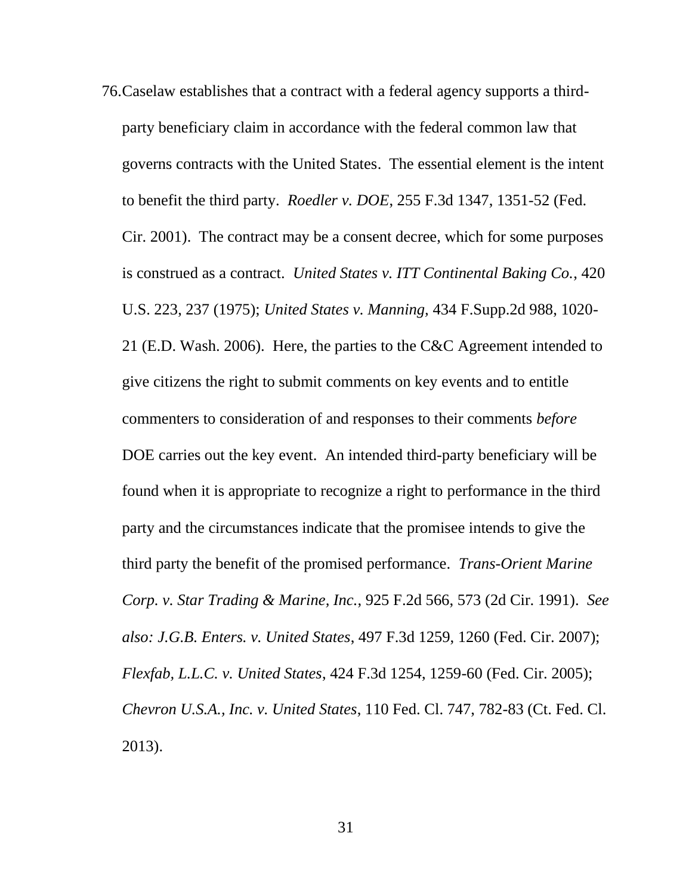76.Caselaw establishes that a contract with a federal agency supports a thirdparty beneficiary claim in accordance with the federal common law that governs contracts with the United States. The essential element is the intent to benefit the third party. *Roedler v. DOE*[, 255 F.3d 1347, 1351-52 \(Fed.](https://advance.lexis.com/api/document/collection/cases/id/43G4-S2D0-003B-92VC-00000-00?page=1351&reporter=1107&cite=255%20F.3d%201347&context=1000516)  [Cir. 2001\).](https://advance.lexis.com/api/document/collection/cases/id/43G4-S2D0-003B-92VC-00000-00?page=1351&reporter=1107&cite=255%20F.3d%201347&context=1000516) The contract may be a consent decree, which for some purposes is construed as a contract. *United States v. ITT Continental Baking Co.*, 420 U.S. 223, 237 (1975); *United States v. Manning,* 434 F.Supp.2d 988, 1020- 21 (E.D. Wash. 2006). Here, the parties to the C&C Agreement intended to give citizens the right to submit comments on key events and to entitle commenters to consideration of and responses to their comments *before* DOE carries out the key event. An intended third-party beneficiary will be found when it is appropriate to recognize a right to performance in the third party and the circumstances indicate that the promisee intends to give the third party the benefit of the promised performance. *Trans-Orient Marine Corp. v. Star Trading & Marine, Inc.*, 925 F.2d 566, 573 (2d Cir. 1991). *See also: J.G.B. Enters. v. United States*, 497 F.3d 1259, 1260 (Fed. Cir. 2007); *Flexfab, L.L.C. v. United States*, 424 F.3d 1254, 1259-60 (Fed. Cir. 2005); *Chevron U.S.A., Inc. v. United States*, 110 Fed. Cl. 747, 782-83 (Ct. Fed. Cl. 2013).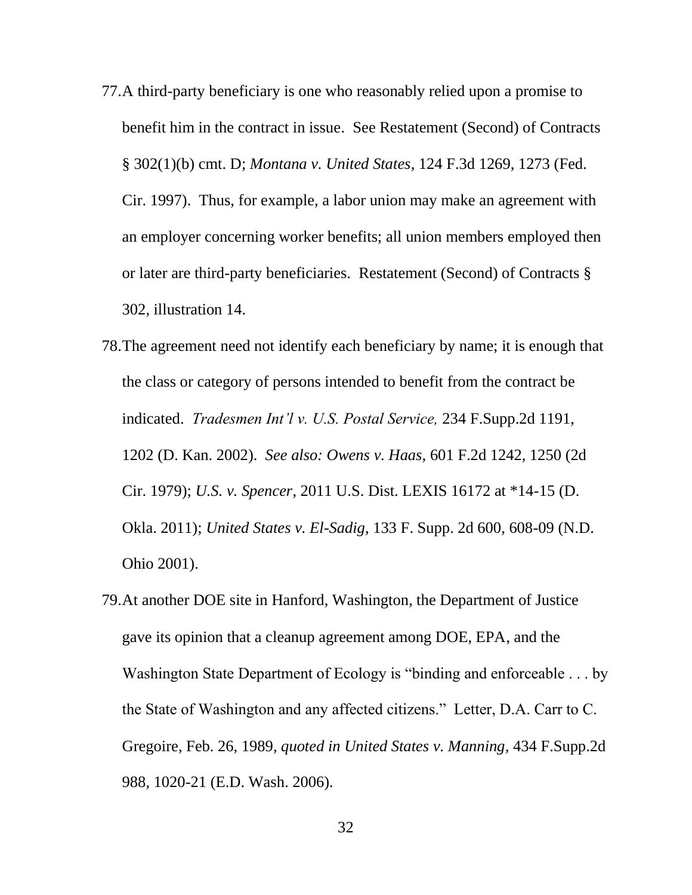- 77.A third-party beneficiary is one who reasonably relied upon a promise to benefit him in the contract in issue. See Restatement (Second) of Contracts § 302(1)(b) cmt. D; *Montana v. United States*, 124 F.3d 1269, 1273 (Fed. Cir. 1997). Thus, for example, a labor union may make an agreement with an employer concerning worker benefits; all union members employed then or later are third-party beneficiaries. Restatement (Second) of Contracts § 302, illustration 14.
- 78.The agreement need not identify each beneficiary by name; it is enough that the class or category of persons intended to benefit from the contract be indicated. *Tradesmen Int'l v. U.S. Postal Service,* 234 F.Supp.2d 1191, 1202 (D. Kan. 2002). *See also: Owens v. Haas,* 601 F.2d 1242, 1250 (2d Cir. 1979); *U.S. v. Spencer*, 2011 U.S. Dist. LEXIS 16172 at \*14-15 (D. Okla. 2011); *United States v. El-Sadig*, 133 F. Supp. 2d 600, 608-09 (N.D. Ohio 2001).
- 79.At another DOE site in Hanford, Washington, the Department of Justice gave its opinion that a cleanup agreement among DOE, EPA, and the Washington State Department of Ecology is "binding and enforceable . . . by the State of Washington and any affected citizens." Letter, D.A. Carr to C. Gregoire, Feb. 26, 1989, *quoted in United States v. Manning*, 434 F.Supp.2d 988, 1020-21 (E.D. Wash. 2006).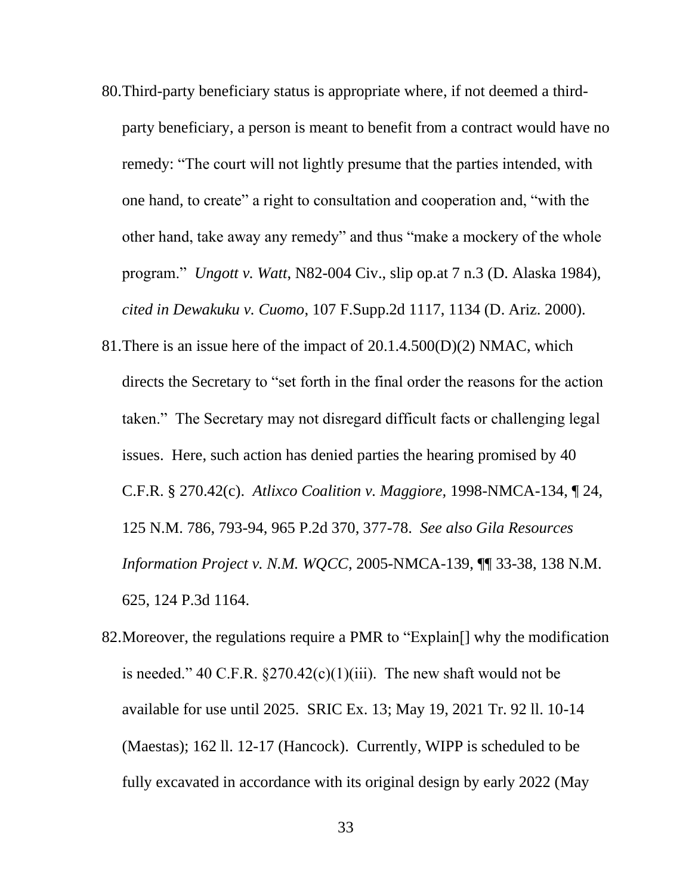- 80.Third-party beneficiary status is appropriate where, if not deemed a thirdparty beneficiary, a person is meant to benefit from a contract would have no remedy: "The court will not lightly presume that the parties intended, with one hand, to create" a right to consultation and cooperation and, "with the other hand, take away any remedy" and thus "make a mockery of the whole program." *Ungott v. Watt*, N82-004 Civ., slip op.at 7 n.3 (D. Alaska 1984), *cited in Dewakuku v. Cuomo*, 107 F.Supp.2d 1117, 1134 (D. Ariz. 2000).
- 81.There is an issue here of the impact of 20.1.4.500(D)(2) NMAC, which directs the Secretary to "set forth in the final order the reasons for the action taken." The Secretary may not disregard difficult facts or challenging legal issues. Here, such action has denied parties the hearing promised by 40 C.F.R. § 270.42(c). *Atlixco Coalition v. Maggiore,* 1998-NMCA-134, ¶ 24, 125 N.M. 786, 793-94, 965 P.2d 370, 377-78. *See also Gila Resources Information Project v. N.M. WQCC*, 2005-NMCA-139, ¶¶ 33-38, 138 N.M. 625, 124 P.3d 1164.
- 82.Moreover, the regulations require a PMR to "Explain[] why the modification is needed." 40 C.F.R.  $\S270.42(c)(1)(iii)$ . The new shaft would not be available for use until 2025. SRIC Ex. 13; May 19, 2021 Tr. 92 ll. 10-14 (Maestas); 162 ll. 12-17 (Hancock). Currently, WIPP is scheduled to be fully excavated in accordance with its original design by early 2022 (May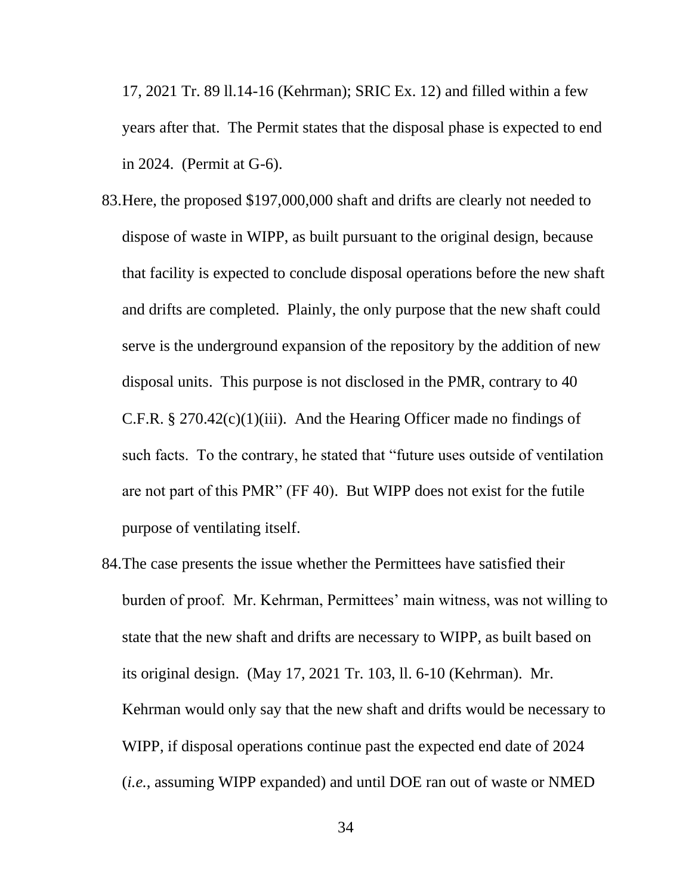17, 2021 Tr. 89 ll.14-16 (Kehrman); SRIC Ex. 12) and filled within a few years after that. The Permit states that the disposal phase is expected to end in 2024. (Permit at G-6).

- 83.Here, the proposed \$197,000,000 shaft and drifts are clearly not needed to dispose of waste in WIPP, as built pursuant to the original design, because that facility is expected to conclude disposal operations before the new shaft and drifts are completed. Plainly, the only purpose that the new shaft could serve is the underground expansion of the repository by the addition of new disposal units. This purpose is not disclosed in the PMR, contrary to 40 C.F.R. § 270.42(c)(1)(iii). And the Hearing Officer made no findings of such facts. To the contrary, he stated that "future uses outside of ventilation are not part of this PMR" (FF 40). But WIPP does not exist for the futile purpose of ventilating itself.
- 84.The case presents the issue whether the Permittees have satisfied their burden of proof. Mr. Kehrman, Permittees' main witness, was not willing to state that the new shaft and drifts are necessary to WIPP, as built based on its original design. (May 17, 2021 Tr. 103, ll. 6-10 (Kehrman). Mr. Kehrman would only say that the new shaft and drifts would be necessary to WIPP, if disposal operations continue past the expected end date of 2024 (*i.e.*, assuming WIPP expanded) and until DOE ran out of waste or NMED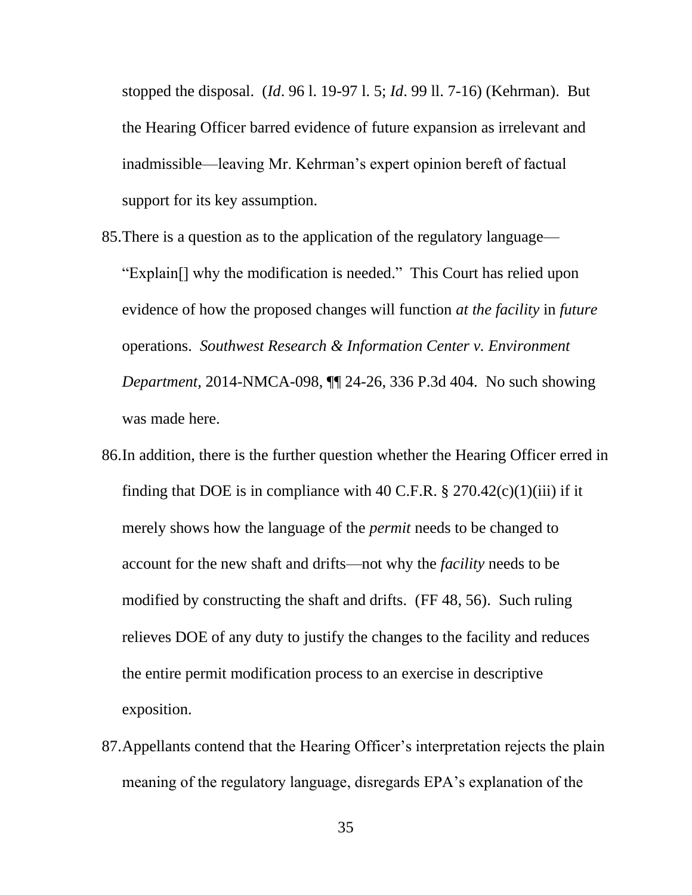stopped the disposal. (*Id*. 96 l. 19-97 l. 5; *Id*. 99 ll. 7-16) (Kehrman). But the Hearing Officer barred evidence of future expansion as irrelevant and inadmissible—leaving Mr. Kehrman's expert opinion bereft of factual support for its key assumption.

- 85.There is a question as to the application of the regulatory language— "Explain[] why the modification is needed." This Court has relied upon evidence of how the proposed changes will function *at the facility* in *future* operations. *Southwest Research & Information Center v. Environment Department,* 2014-NMCA-098, ¶¶ 24-26, 336 P.3d 404. No such showing was made here.
- 86.In addition, there is the further question whether the Hearing Officer erred in finding that DOE is in compliance with 40 C.F.R.  $\S 270.42(c)(1)(iii)$  if it merely shows how the language of the *permit* needs to be changed to account for the new shaft and drifts—not why the *facility* needs to be modified by constructing the shaft and drifts. (FF 48, 56). Such ruling relieves DOE of any duty to justify the changes to the facility and reduces the entire permit modification process to an exercise in descriptive exposition.
- 87.Appellants contend that the Hearing Officer's interpretation rejects the plain meaning of the regulatory language, disregards EPA's explanation of the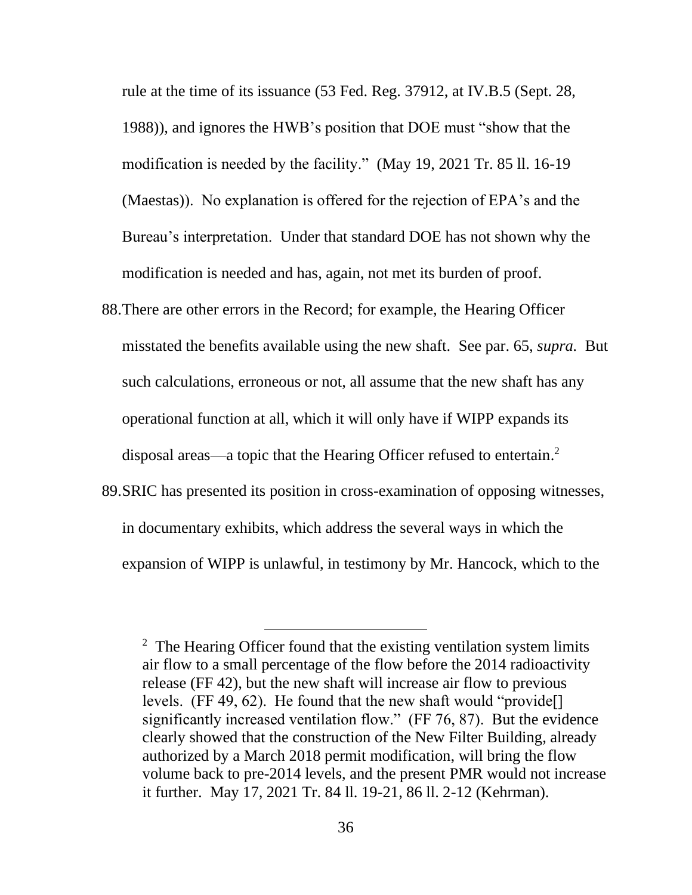rule at the time of its issuance (53 Fed. Reg. 37912, at IV.B.5 (Sept. 28, 1988)), and ignores the HWB's position that DOE must "show that the modification is needed by the facility." (May 19, 2021 Tr. 85 ll. 16-19 (Maestas)). No explanation is offered for the rejection of EPA's and the Bureau's interpretation. Under that standard DOE has not shown why the modification is needed and has, again, not met its burden of proof.

- 88.There are other errors in the Record; for example, the Hearing Officer misstated the benefits available using the new shaft. See par. 65, *supra.* But such calculations, erroneous or not, all assume that the new shaft has any operational function at all, which it will only have if WIPP expands its disposal areas—a topic that the Hearing Officer refused to entertain. 2
- 89.SRIC has presented its position in cross-examination of opposing witnesses, in documentary exhibits, which address the several ways in which the expansion of WIPP is unlawful, in testimony by Mr. Hancock, which to the

<sup>&</sup>lt;sup>2</sup> The Hearing Officer found that the existing ventilation system limits air flow to a small percentage of the flow before the 2014 radioactivity release (FF 42), but the new shaft will increase air flow to previous levels. (FF 49, 62). He found that the new shaft would "provide[] significantly increased ventilation flow." (FF 76, 87). But the evidence clearly showed that the construction of the New Filter Building, already authorized by a March 2018 permit modification, will bring the flow volume back to pre-2014 levels, and the present PMR would not increase it further. May 17, 2021 Tr. 84 ll. 19-21, 86 ll. 2-12 (Kehrman).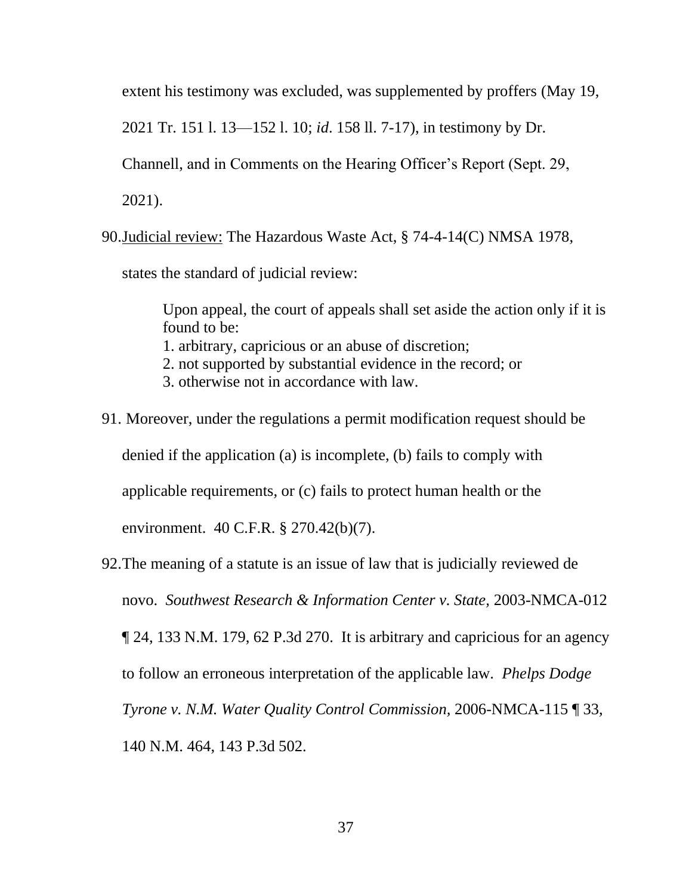extent his testimony was excluded, was supplemented by proffers (May 19,

2021 Tr. 151 l. 13—152 l. 10; *id*. 158 ll. 7-17), in testimony by Dr.

Channell, and in Comments on the Hearing Officer's Report (Sept. 29,

2021).

90.Judicial review: The Hazardous Waste Act, § 74-4-14(C) NMSA 1978,

states the standard of judicial review:

Upon appeal, the court of appeals shall set aside the action only if it is found to be: 1. arbitrary, capricious or an abuse of discretion; 2. not supported by substantial evidence in the record; or 3. otherwise not in accordance with law.

- 91. Moreover, under the regulations a permit modification request should be denied if the application (a) is incomplete, (b) fails to comply with applicable requirements, or (c) fails to protect human health or the environment. 40 C.F.R. § 270.42(b)(7).
- 92.The meaning of a statute is an issue of law that is judicially reviewed de novo. *Southwest Research & Information Center v. State,* 2003-NMCA-012 ¶ 24, 133 N.M. 179, 62 P.3d 270. It is arbitrary and capricious for an agency to follow an erroneous interpretation of the applicable law. *Phelps Dodge Tyrone v. N.M. Water Quality Control Commission,* 2006-NMCA-115 ¶ 33, 140 N.M. 464, 143 P.3d 502.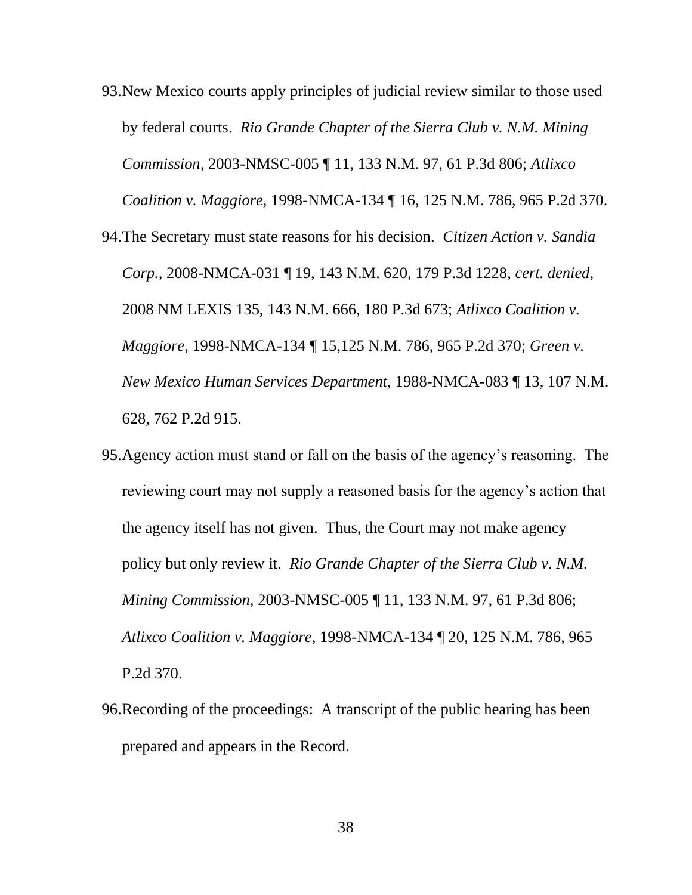- 93.New Mexico courts apply principles of judicial review similar to those used by federal courts. *Rio Grande Chapter of the Sierra Club v. N.M. Mining Commission,* 2003-NMSC-005 ¶ 11, 133 N.M. 97, 61 P.3d 806; *Atlixco Coalition v. Maggiore,* 1998-NMCA-134 ¶ 16, 125 N.M. 786, 965 P.2d 370. 94.The Secretary must state reasons for his decision. *Citizen Action v. Sandia Corp.,* 2008-NMCA-031 ¶ 19, 143 N.M. 620, 179 P.3d 1228, *cert. denied,* 2008 NM LEXIS 135, 143 N.M. 666, 180 P.3d 673; *Atlixco Coalition v. Maggiore,* 1998-NMCA-134 ¶ 15,125 N.M. 786, 965 P.2d 370; *Green v. New Mexico Human Services Department,* 1988-NMCA-083 ¶ 13, 107 N.M. 628, 762 P.2d 915.
- 95.Agency action must stand or fall on the basis of the agency's reasoning. The reviewing court may not supply a reasoned basis for the agency's action that the agency itself has not given. Thus, the Court may not make agency policy but only review it. *Rio Grande Chapter of the Sierra Club v. N.M. Mining Commission,* 2003-NMSC-005 ¶ 11, 133 N.M. 97, 61 P.3d 806; *Atlixco Coalition v. Maggiore,* 1998-NMCA-134 ¶ 20, 125 N.M. 786, 965 P.2d 370.
- 96.Recording of the proceedings: A transcript of the public hearing has been prepared and appears in the Record.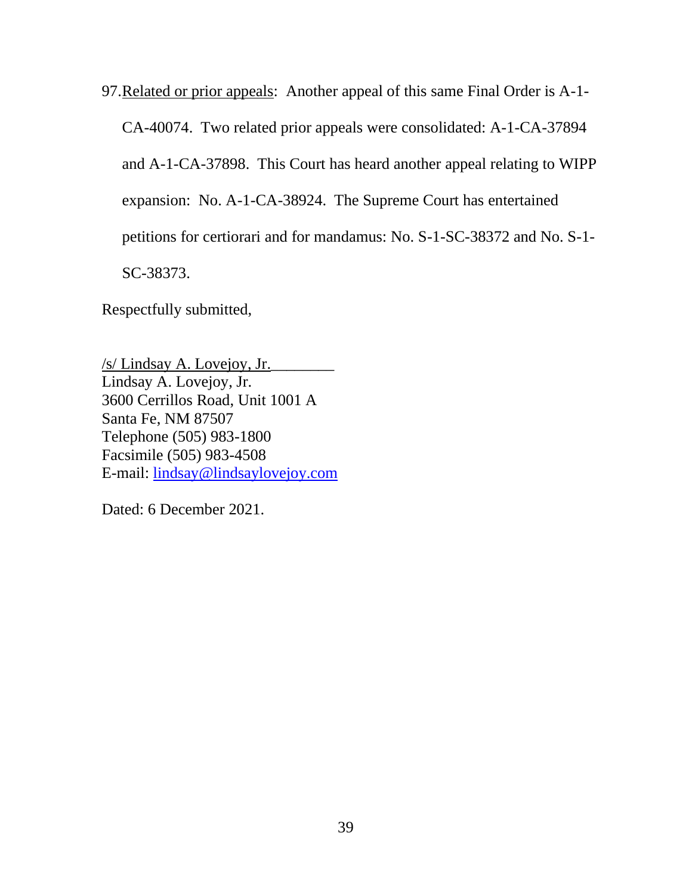97.Related or prior appeals: Another appeal of this same Final Order is A-1-

CA-40074. Two related prior appeals were consolidated: A-1-CA-37894

and A-1-CA-37898. This Court has heard another appeal relating to WIPP

expansion: No. A-1-CA-38924. The Supreme Court has entertained

petitions for certiorari and for mandamus: No. S-1-SC-38372 and No. S-1-

SC-38373.

Respectfully submitted,

/s/ Lindsay A. Lovejoy, Jr.\_\_\_\_\_\_\_\_ Lindsay A. Lovejoy, Jr. 3600 Cerrillos Road, Unit 1001 A Santa Fe, NM 87507 Telephone (505) 983-1800 Facsimile (505) 983-4508 E-mail: [lindsay@lindsaylovejoy.com](mailto:lindsay@lindsaylovejoy.com)

Dated: 6 December 2021.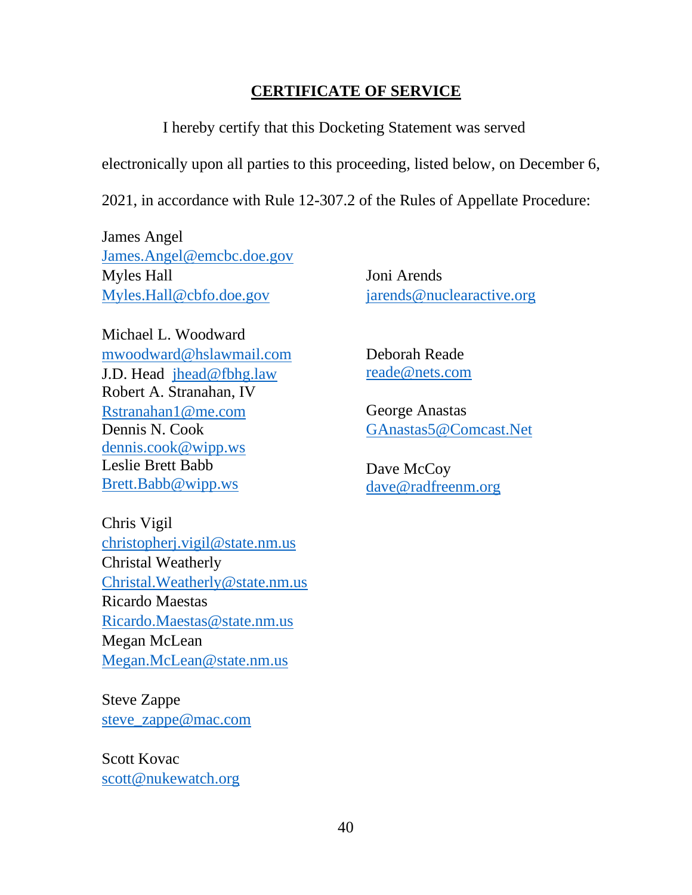## **CERTIFICATE OF SERVICE**

I hereby certify that this Docketing Statement was served

electronically upon all parties to this proceeding, listed below, on December 6,

2021, in accordance with Rule 12-307.2 of the Rules of Appellate Procedure:

James Angel [James.Angel@emcbc.](mailto:James.Angel@emcbc)doe.gov Myles Hall [Myles.Hall@cbfo.](mailto:Myles.Hall@cbfo)doe.gov

Michael L. Woodward mwoodward@hslawmail.com J.D. Head jhead@fbhg.law Robert A. Stranahan, IV Rstranahan1@me.com Dennis N. Cook dennis.cook@wipp.ws Leslie Brett Babb Brett.Babb@wipp.ws

Chris Vigil christopherj.vigil@state.nm.us Christal Weatherly Christal.Weatherly@state.nm.us Ricardo Maestas Ricardo.Maestas@state.nm.us Megan McLean Megan.McLean@state.nm.us

Steve Zappe steve\_zappe@mac.com

Scott Kovac scott@nukewatch.org Joni Arends jarends@nuclearactive.org

Deborah Reade reade@nets.com

George Anastas GAnastas5@Comcast.Net

Dave McCoy dave@radfreenm.org